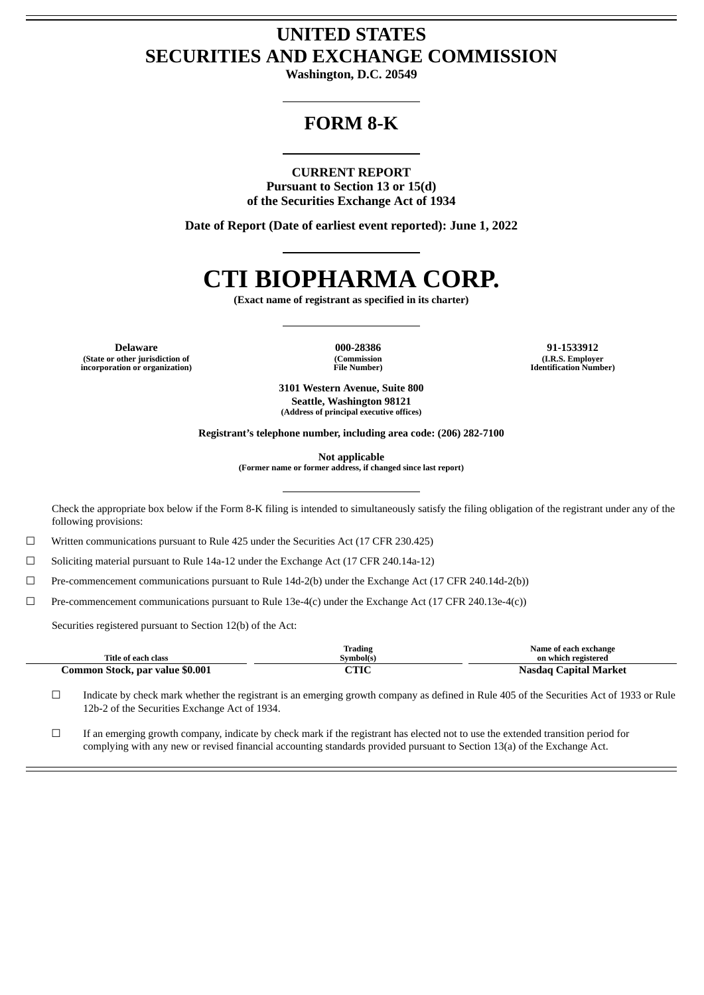# **UNITED STATES SECURITIES AND EXCHANGE COMMISSION**

**Washington, D.C. 20549**

# **FORM 8-K**

# **CURRENT REPORT**

**Pursuant to Section 13 or 15(d) of the Securities Exchange Act of 1934**

**Date of Report (Date of earliest event reported): June 1, 2022**

# **CTI BIOPHARMA CORP.**

**(Exact name of registrant as specified in its charter)**

**Delaware 000-28386 91-1533912 (State or other jurisdiction of incorporation or organization)**

**(Commission File Number)**

**(I.R.S. Employer Identification Number)**

**3101 Western Avenue, Suite 800 Seattle, Washington 98121 (Address of principal executive offices)**

**Registrant's telephone number, including area code: (206) 282-7100**

**Not applicable**

**(Former name or former address, if changed since last report)**

Check the appropriate box below if the Form 8-K filing is intended to simultaneously satisfy the filing obligation of the registrant under any of the following provisions:

☐ Written communications pursuant to Rule 425 under the Securities Act (17 CFR 230.425)

☐ Soliciting material pursuant to Rule 14a-12 under the Exchange Act (17 CFR 240.14a-12)

 $\Box$  Pre-commencement communications pursuant to Rule 14d-2(b) under the Exchange Act (17 CFR 240.14d-2(b))

 $\Box$  Pre-commencement communications pursuant to Rule 13e-4(c) under the Exchange Act (17 CFR 240.13e-4(c))

Securities registered pursuant to Section 12(b) of the Act:

| Title of each class             | Trading<br>Symbol(s)    | Name of each exchange<br>on which registered |
|---------------------------------|-------------------------|----------------------------------------------|
|                                 |                         |                                              |
| Common Stock, par value \$0.001 | $\mathop{\mathrm{THC}}$ | <b>Nasdag Capital Market</b>                 |

☐ Indicate by check mark whether the registrant is an emerging growth company as defined in Rule 405 of the Securities Act of 1933 or Rule 12b-2 of the Securities Exchange Act of 1934.

☐ If an emerging growth company, indicate by check mark if the registrant has elected not to use the extended transition period for complying with any new or revised financial accounting standards provided pursuant to Section 13(a) of the Exchange Act.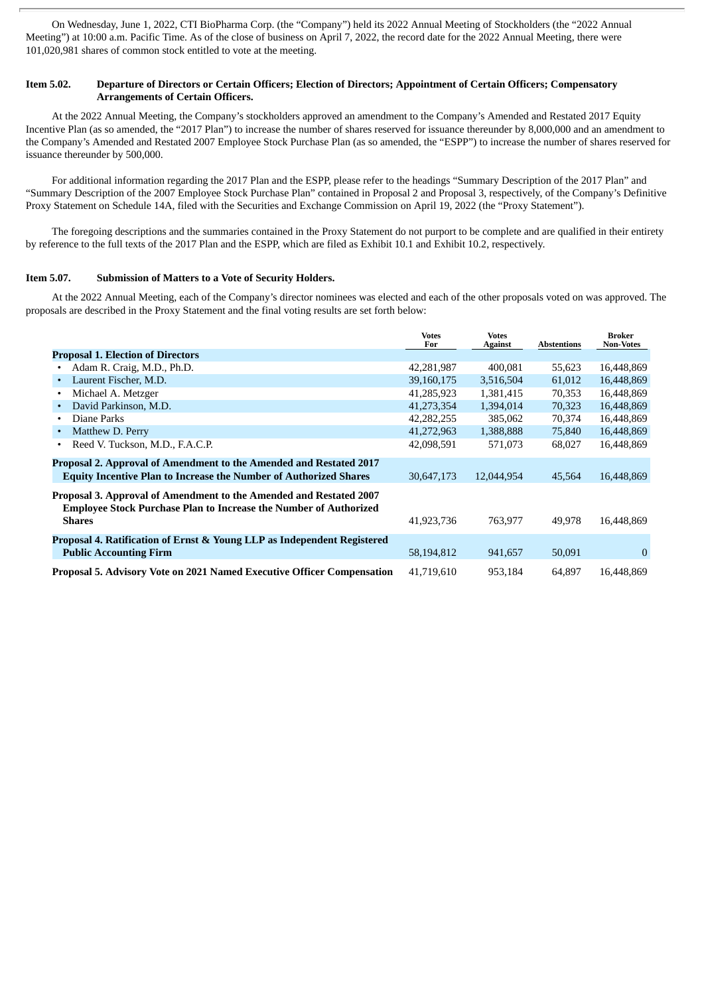On Wednesday, June 1, 2022, CTI BioPharma Corp. (the "Company") held its 2022 Annual Meeting of Stockholders (the "2022 Annual Meeting") at 10:00 a.m. Pacific Time. As of the close of business on April 7, 2022, the record date for the 2022 Annual Meeting, there were 101,020,981 shares of common stock entitled to vote at the meeting.

### Item 5.02. Departure of Directors or Certain Officers; Election of Directors; Appointment of Certain Officers; Compensatory **Arrangements of Certain Officers.**

At the 2022 Annual Meeting, the Company's stockholders approved an amendment to the Company's Amended and Restated 2017 Equity Incentive Plan (as so amended, the "2017 Plan") to increase the number of shares reserved for issuance thereunder by 8,000,000 and an amendment to the Company's Amended and Restated 2007 Employee Stock Purchase Plan (as so amended, the "ESPP") to increase the number of shares reserved for issuance thereunder by 500,000.

For additional information regarding the 2017 Plan and the ESPP, please refer to the headings "Summary Description of the 2017 Plan" and "Summary Description of the 2007 Employee Stock Purchase Plan" contained in Proposal 2 and Proposal 3, respectively, of the Company's Definitive Proxy Statement on Schedule 14A, filed with the Securities and Exchange Commission on April 19, 2022 (the "Proxy Statement").

The foregoing descriptions and the summaries contained in the Proxy Statement do not purport to be complete and are qualified in their entirety by reference to the full texts of the 2017 Plan and the ESPP, which are filed as Exhibit 10.1 and Exhibit 10.2, respectively.

#### **Item 5.07. Submission of Matters to a Vote of Security Holders.**

At the 2022 Annual Meeting, each of the Company's director nominees was elected and each of the other proposals voted on was approved. The proposals are described in the Proxy Statement and the final voting results are set forth below:

|                                                                                                                                                                 | <b>Votes</b><br>For | <b>Votes</b><br><b>Against</b> | <b>Abstentions</b> | <b>Broker</b><br><b>Non-Votes</b> |
|-----------------------------------------------------------------------------------------------------------------------------------------------------------------|---------------------|--------------------------------|--------------------|-----------------------------------|
| <b>Proposal 1. Election of Directors</b>                                                                                                                        |                     |                                |                    |                                   |
| Adam R. Craig, M.D., Ph.D.<br>٠                                                                                                                                 | 42,281,987          | 400.081                        | 55,623             | 16,448,869                        |
| Laurent Fischer, M.D.<br>$\bullet$                                                                                                                              | 39,160,175          | 3,516,504                      | 61,012             | 16,448,869                        |
| Michael A. Metzger<br>$\bullet$                                                                                                                                 | 41,285,923          | 1,381,415                      | 70,353             | 16,448,869                        |
| David Parkinson, M.D.<br>$\bullet$                                                                                                                              | 41,273,354          | 1,394,014                      | 70,323             | 16,448,869                        |
| Diane Parks<br>$\bullet$                                                                                                                                        | 42,282,255          | 385,062                        | 70,374             | 16,448,869                        |
| Matthew D. Perry<br>$\bullet$                                                                                                                                   | 41,272,963          | 1,388,888                      | 75,840             | 16,448,869                        |
| Reed V. Tuckson, M.D., F.A.C.P.<br>٠                                                                                                                            | 42,098,591          | 571,073                        | 68,027             | 16,448,869                        |
| Proposal 2. Approval of Amendment to the Amended and Restated 2017<br><b>Equity Incentive Plan to Increase the Number of Authorized Shares</b>                  | 30,647,173          | 12.044.954                     | 45,564             | 16,448,869                        |
| Proposal 3. Approval of Amendment to the Amended and Restated 2007<br><b>Employee Stock Purchase Plan to Increase the Number of Authorized</b><br><b>Shares</b> | 41,923,736          | 763,977                        | 49,978             | 16,448,869                        |
| Proposal 4. Ratification of Ernst & Young LLP as Independent Registered<br><b>Public Accounting Firm</b>                                                        | 58,194,812          | 941,657                        | 50,091             | $\bf{0}$                          |
| <b>Proposal 5. Advisory Vote on 2021 Named Executive Officer Compensation</b>                                                                                   | 41,719,610          | 953,184                        | 64.897             | 16.448.869                        |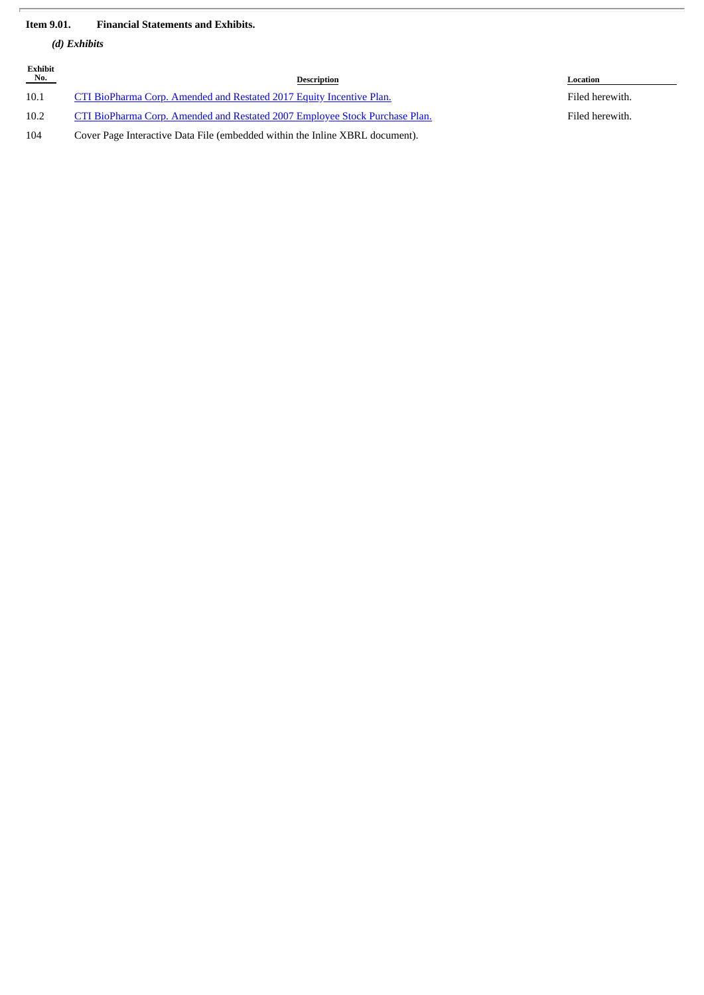# **Item 9.01. Financial Statements and Exhibits.**

*(d) Exhibits*

Ï

| Exhibit<br>$N_{0}$ . | Description                                                                        | Location        |
|----------------------|------------------------------------------------------------------------------------|-----------------|
| 10.1                 | CTI BioPharma Corp. Amended and Restated 2017 Equity Incentive Plan.               | Filed herewith. |
| 10.2                 | <b>CTI BioPharma Corp. Amended and Restated 2007 Employee Stock Purchase Plan.</b> | Filed herewith. |
| 104                  | Cover Page Interactive Data File (embedded within the Inline XBRL document).       |                 |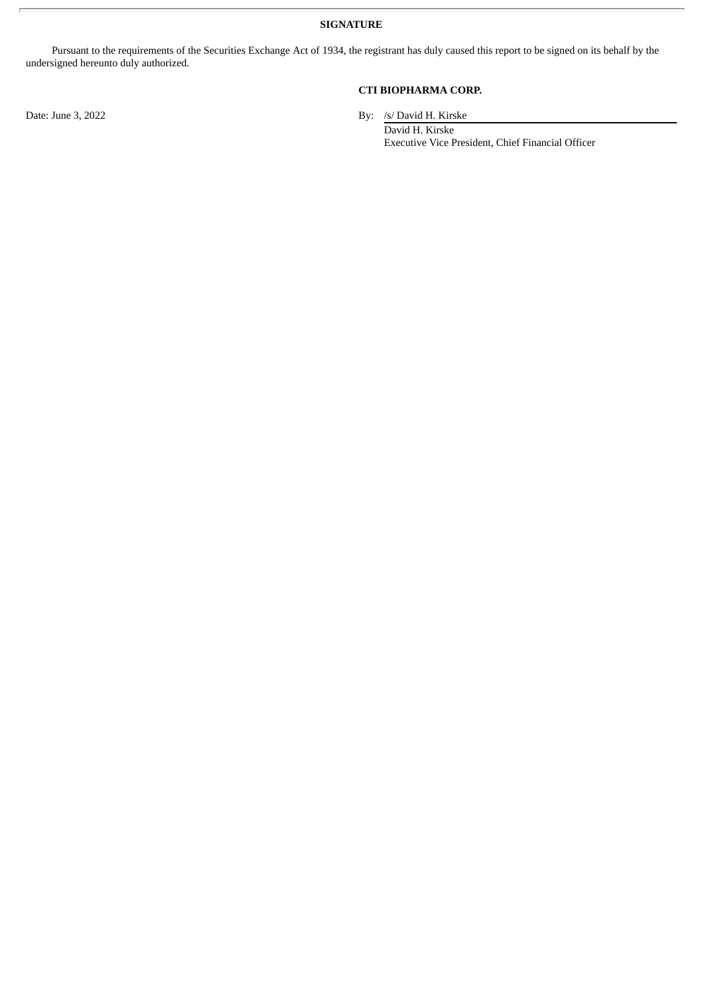**SIGNATURE**

Pursuant to the requirements of the Securities Exchange Act of 1934, the registrant has duly caused this report to be signed on its behalf by the undersigned hereunto duly authorized.

# **CTI BIOPHARMA CORP.**

Date: June 3, 2022 By: /s/ David H. Kirske

David H. Kirske Executive Vice President, Chief Financial Officer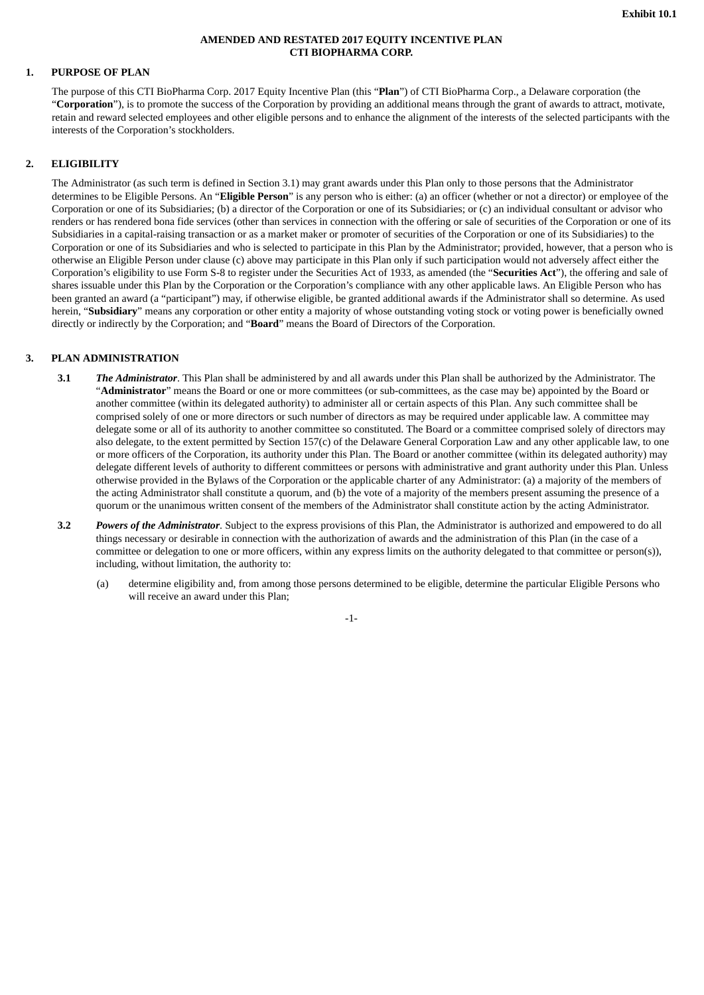#### **AMENDED AND RESTATED 2017 EQUITY INCENTIVE PLAN CTI BIOPHARMA CORP.**

#### <span id="page-4-0"></span>**1. PURPOSE OF PLAN**

The purpose of this CTI BioPharma Corp. 2017 Equity Incentive Plan (this "**Plan**") of CTI BioPharma Corp., a Delaware corporation (the "**Corporation**"), is to promote the success of the Corporation by providing an additional means through the grant of awards to attract, motivate, retain and reward selected employees and other eligible persons and to enhance the alignment of the interests of the selected participants with the interests of the Corporation's stockholders.

# **2. ELIGIBILITY**

The Administrator (as such term is defined in Section 3.1) may grant awards under this Plan only to those persons that the Administrator determines to be Eligible Persons. An "**Eligible Person**" is any person who is either: (a) an officer (whether or not a director) or employee of the Corporation or one of its Subsidiaries; (b) a director of the Corporation or one of its Subsidiaries; or (c) an individual consultant or advisor who renders or has rendered bona fide services (other than services in connection with the offering or sale of securities of the Corporation or one of its Subsidiaries in a capital-raising transaction or as a market maker or promoter of securities of the Corporation or one of its Subsidiaries) to the Corporation or one of its Subsidiaries and who is selected to participate in this Plan by the Administrator; provided, however, that a person who is otherwise an Eligible Person under clause (c) above may participate in this Plan only if such participation would not adversely affect either the Corporation's eligibility to use Form S-8 to register under the Securities Act of 1933, as amended (the "**Securities Act**"), the offering and sale of shares issuable under this Plan by the Corporation or the Corporation's compliance with any other applicable laws. An Eligible Person who has been granted an award (a "participant") may, if otherwise eligible, be granted additional awards if the Administrator shall so determine. As used herein, "**Subsidiary**" means any corporation or other entity a majority of whose outstanding voting stock or voting power is beneficially owned directly or indirectly by the Corporation; and "**Board**" means the Board of Directors of the Corporation.

#### **3. PLAN ADMINISTRATION**

- **3.1** *The Administrator*. This Plan shall be administered by and all awards under this Plan shall be authorized by the Administrator. The "**Administrator**" means the Board or one or more committees (or sub-committees, as the case may be) appointed by the Board or another committee (within its delegated authority) to administer all or certain aspects of this Plan. Any such committee shall be comprised solely of one or more directors or such number of directors as may be required under applicable law. A committee may delegate some or all of its authority to another committee so constituted. The Board or a committee comprised solely of directors may also delegate, to the extent permitted by Section 157(c) of the Delaware General Corporation Law and any other applicable law, to one or more officers of the Corporation, its authority under this Plan. The Board or another committee (within its delegated authority) may delegate different levels of authority to different committees or persons with administrative and grant authority under this Plan. Unless otherwise provided in the Bylaws of the Corporation or the applicable charter of any Administrator: (a) a majority of the members of the acting Administrator shall constitute a quorum, and (b) the vote of a majority of the members present assuming the presence of a quorum or the unanimous written consent of the members of the Administrator shall constitute action by the acting Administrator.
- **3.2** *Powers of the Administrator*. Subject to the express provisions of this Plan, the Administrator is authorized and empowered to do all things necessary or desirable in connection with the authorization of awards and the administration of this Plan (in the case of a committee or delegation to one or more officers, within any express limits on the authority delegated to that committee or person(s)), including, without limitation, the authority to:
	- (a) determine eligibility and, from among those persons determined to be eligible, determine the particular Eligible Persons who will receive an award under this Plan;

-1-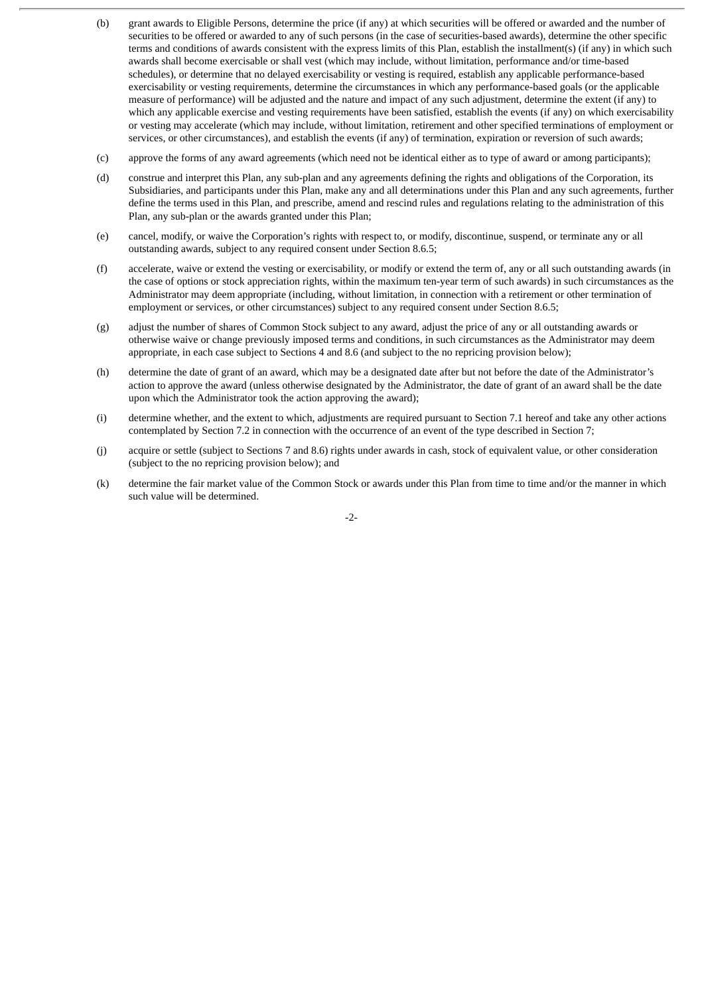- (b) grant awards to Eligible Persons, determine the price (if any) at which securities will be offered or awarded and the number of securities to be offered or awarded to any of such persons (in the case of securities-based awards), determine the other specific terms and conditions of awards consistent with the express limits of this Plan, establish the installment(s) (if any) in which such awards shall become exercisable or shall vest (which may include, without limitation, performance and/or time-based schedules), or determine that no delayed exercisability or vesting is required, establish any applicable performance-based exercisability or vesting requirements, determine the circumstances in which any performance-based goals (or the applicable measure of performance) will be adjusted and the nature and impact of any such adjustment, determine the extent (if any) to which any applicable exercise and vesting requirements have been satisfied, establish the events (if any) on which exercisability or vesting may accelerate (which may include, without limitation, retirement and other specified terminations of employment or services, or other circumstances), and establish the events (if any) of termination, expiration or reversion of such awards;
- (c) approve the forms of any award agreements (which need not be identical either as to type of award or among participants);
- (d) construe and interpret this Plan, any sub-plan and any agreements defining the rights and obligations of the Corporation, its Subsidiaries, and participants under this Plan, make any and all determinations under this Plan and any such agreements, further define the terms used in this Plan, and prescribe, amend and rescind rules and regulations relating to the administration of this Plan, any sub-plan or the awards granted under this Plan;
- (e) cancel, modify, or waive the Corporation's rights with respect to, or modify, discontinue, suspend, or terminate any or all outstanding awards, subject to any required consent under Section 8.6.5;
- (f) accelerate, waive or extend the vesting or exercisability, or modify or extend the term of, any or all such outstanding awards (in the case of options or stock appreciation rights, within the maximum ten-year term of such awards) in such circumstances as the Administrator may deem appropriate (including, without limitation, in connection with a retirement or other termination of employment or services, or other circumstances) subject to any required consent under Section 8.6.5;
- (g) adjust the number of shares of Common Stock subject to any award, adjust the price of any or all outstanding awards or otherwise waive or change previously imposed terms and conditions, in such circumstances as the Administrator may deem appropriate, in each case subject to Sections 4 and 8.6 (and subject to the no repricing provision below);
- (h) determine the date of grant of an award, which may be a designated date after but not before the date of the Administrator's action to approve the award (unless otherwise designated by the Administrator, the date of grant of an award shall be the date upon which the Administrator took the action approving the award);
- (i) determine whether, and the extent to which, adjustments are required pursuant to Section 7.1 hereof and take any other actions contemplated by Section 7.2 in connection with the occurrence of an event of the type described in Section 7;
- (j) acquire or settle (subject to Sections 7 and 8.6) rights under awards in cash, stock of equivalent value, or other consideration (subject to the no repricing provision below); and
- (k) determine the fair market value of the Common Stock or awards under this Plan from time to time and/or the manner in which such value will be determined.

 $-2-$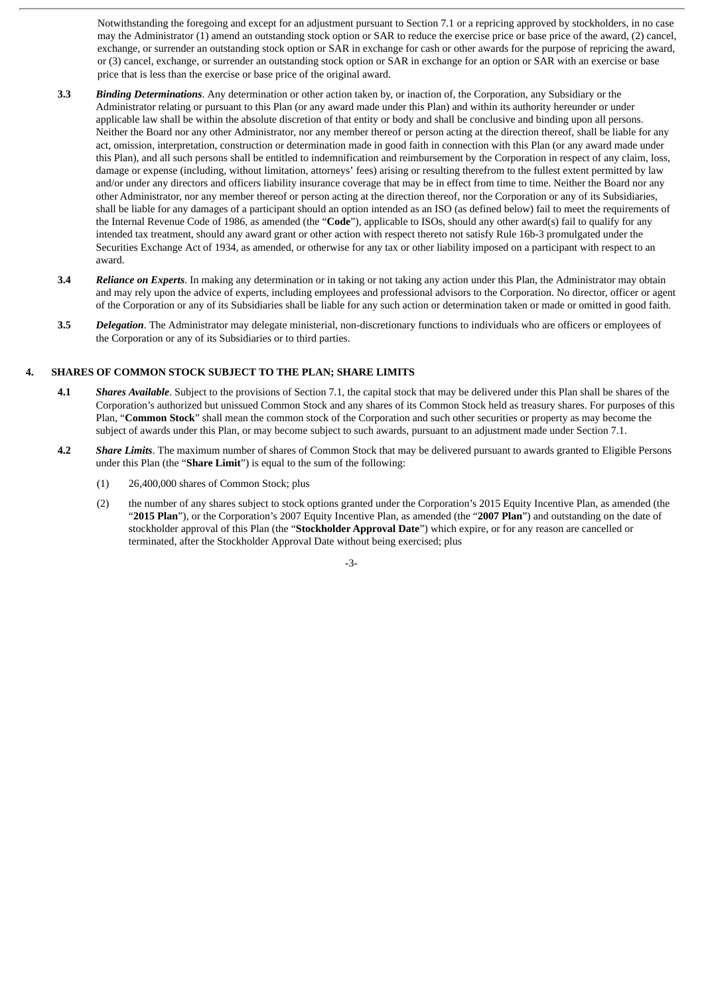Notwithstanding the foregoing and except for an adjustment pursuant to Section 7.1 or a repricing approved by stockholders, in no case may the Administrator (1) amend an outstanding stock option or SAR to reduce the exercise price or base price of the award, (2) cancel, exchange, or surrender an outstanding stock option or SAR in exchange for cash or other awards for the purpose of repricing the award, or (3) cancel, exchange, or surrender an outstanding stock option or SAR in exchange for an option or SAR with an exercise or base price that is less than the exercise or base price of the original award.

- **3.3** *Binding Determinations*. Any determination or other action taken by, or inaction of, the Corporation, any Subsidiary or the Administrator relating or pursuant to this Plan (or any award made under this Plan) and within its authority hereunder or under applicable law shall be within the absolute discretion of that entity or body and shall be conclusive and binding upon all persons. Neither the Board nor any other Administrator, nor any member thereof or person acting at the direction thereof, shall be liable for any act, omission, interpretation, construction or determination made in good faith in connection with this Plan (or any award made under this Plan), and all such persons shall be entitled to indemnification and reimbursement by the Corporation in respect of any claim, loss, damage or expense (including, without limitation, attorneys' fees) arising or resulting therefrom to the fullest extent permitted by law and/or under any directors and officers liability insurance coverage that may be in effect from time to time. Neither the Board nor any other Administrator, nor any member thereof or person acting at the direction thereof, nor the Corporation or any of its Subsidiaries, shall be liable for any damages of a participant should an option intended as an ISO (as defined below) fail to meet the requirements of the Internal Revenue Code of 1986, as amended (the "**Code**"), applicable to ISOs, should any other award(s) fail to qualify for any intended tax treatment, should any award grant or other action with respect thereto not satisfy Rule 16b-3 promulgated under the Securities Exchange Act of 1934, as amended, or otherwise for any tax or other liability imposed on a participant with respect to an award.
- **3.4** *Reliance on Experts*. In making any determination or in taking or not taking any action under this Plan, the Administrator may obtain and may rely upon the advice of experts, including employees and professional advisors to the Corporation. No director, officer or agent of the Corporation or any of its Subsidiaries shall be liable for any such action or determination taken or made or omitted in good faith.
- **3.5** *Delegation*. The Administrator may delegate ministerial, non-discretionary functions to individuals who are officers or employees of the Corporation or any of its Subsidiaries or to third parties.

## **4. SHARES OF COMMON STOCK SUBJECT TO THE PLAN; SHARE LIMITS**

- **4.1** *Shares Available*. Subject to the provisions of Section 7.1, the capital stock that may be delivered under this Plan shall be shares of the Corporation's authorized but unissued Common Stock and any shares of its Common Stock held as treasury shares. For purposes of this Plan, "**Common Stock**" shall mean the common stock of the Corporation and such other securities or property as may become the subject of awards under this Plan, or may become subject to such awards, pursuant to an adjustment made under Section 7.1.
- **4.2** *Share Limits*. The maximum number of shares of Common Stock that may be delivered pursuant to awards granted to Eligible Persons under this Plan (the "**Share Limit**") is equal to the sum of the following:
	- (1) 26,400,000 shares of Common Stock; plus
	- (2) the number of any shares subject to stock options granted under the Corporation's 2015 Equity Incentive Plan, as amended (the "**2015 Plan**"), or the Corporation's 2007 Equity Incentive Plan, as amended (the "**2007 Plan**") and outstanding on the date of stockholder approval of this Plan (the "**Stockholder Approval Date**") which expire, or for any reason are cancelled or terminated, after the Stockholder Approval Date without being exercised; plus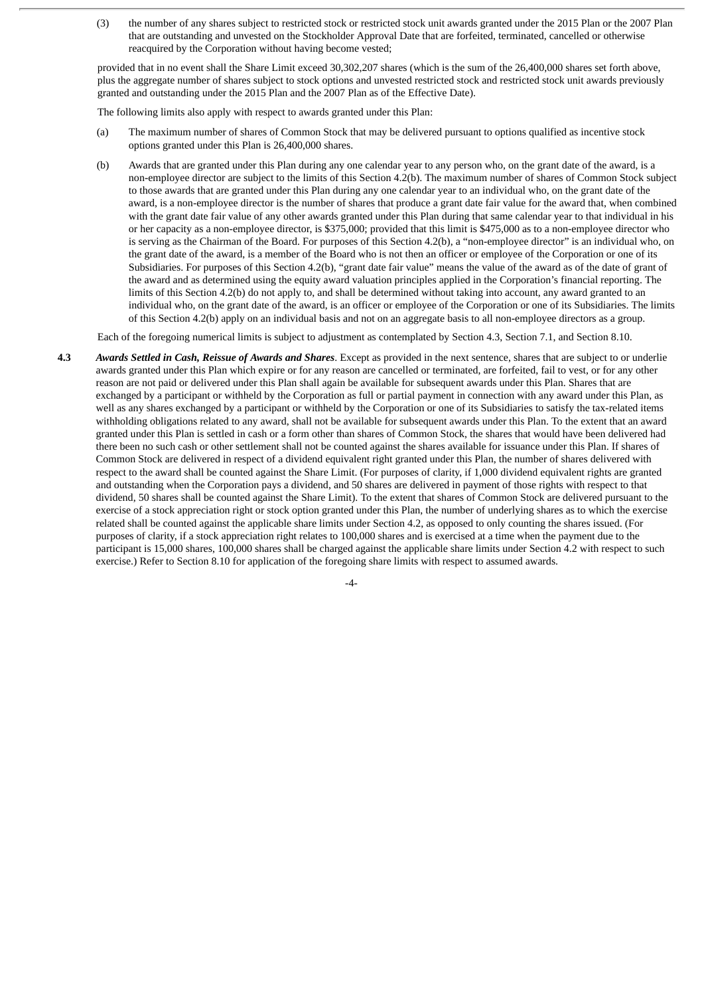(3) the number of any shares subject to restricted stock or restricted stock unit awards granted under the 2015 Plan or the 2007 Plan that are outstanding and unvested on the Stockholder Approval Date that are forfeited, terminated, cancelled or otherwise reacquired by the Corporation without having become vested;

provided that in no event shall the Share Limit exceed 30,302,207 shares (which is the sum of the 26,400,000 shares set forth above, plus the aggregate number of shares subject to stock options and unvested restricted stock and restricted stock unit awards previously granted and outstanding under the 2015 Plan and the 2007 Plan as of the Effective Date).

The following limits also apply with respect to awards granted under this Plan:

- (a) The maximum number of shares of Common Stock that may be delivered pursuant to options qualified as incentive stock options granted under this Plan is 26,400,000 shares.
- (b) Awards that are granted under this Plan during any one calendar year to any person who, on the grant date of the award, is a non-employee director are subject to the limits of this Section 4.2(b). The maximum number of shares of Common Stock subject to those awards that are granted under this Plan during any one calendar year to an individual who, on the grant date of the award, is a non-employee director is the number of shares that produce a grant date fair value for the award that, when combined with the grant date fair value of any other awards granted under this Plan during that same calendar year to that individual in his or her capacity as a non-employee director, is \$375,000; provided that this limit is \$475,000 as to a non-employee director who is serving as the Chairman of the Board. For purposes of this Section 4.2(b), a "non-employee director" is an individual who, on the grant date of the award, is a member of the Board who is not then an officer or employee of the Corporation or one of its Subsidiaries. For purposes of this Section 4.2(b), "grant date fair value" means the value of the award as of the date of grant of the award and as determined using the equity award valuation principles applied in the Corporation's financial reporting. The limits of this Section 4.2(b) do not apply to, and shall be determined without taking into account, any award granted to an individual who, on the grant date of the award, is an officer or employee of the Corporation or one of its Subsidiaries. The limits of this Section 4.2(b) apply on an individual basis and not on an aggregate basis to all non-employee directors as a group.

Each of the foregoing numerical limits is subject to adjustment as contemplated by Section 4.3, Section 7.1, and Section 8.10.

**4.3** *Awards Settled in Cash, Reissue of Awards and Shares*. Except as provided in the next sentence, shares that are subject to or underlie awards granted under this Plan which expire or for any reason are cancelled or terminated, are forfeited, fail to vest, or for any other reason are not paid or delivered under this Plan shall again be available for subsequent awards under this Plan. Shares that are exchanged by a participant or withheld by the Corporation as full or partial payment in connection with any award under this Plan, as well as any shares exchanged by a participant or withheld by the Corporation or one of its Subsidiaries to satisfy the tax-related items withholding obligations related to any award, shall not be available for subsequent awards under this Plan. To the extent that an award granted under this Plan is settled in cash or a form other than shares of Common Stock, the shares that would have been delivered had there been no such cash or other settlement shall not be counted against the shares available for issuance under this Plan. If shares of Common Stock are delivered in respect of a dividend equivalent right granted under this Plan, the number of shares delivered with respect to the award shall be counted against the Share Limit. (For purposes of clarity, if 1,000 dividend equivalent rights are granted and outstanding when the Corporation pays a dividend, and 50 shares are delivered in payment of those rights with respect to that dividend, 50 shares shall be counted against the Share Limit). To the extent that shares of Common Stock are delivered pursuant to the exercise of a stock appreciation right or stock option granted under this Plan, the number of underlying shares as to which the exercise related shall be counted against the applicable share limits under Section 4.2, as opposed to only counting the shares issued. (For purposes of clarity, if a stock appreciation right relates to 100,000 shares and is exercised at a time when the payment due to the participant is 15,000 shares, 100,000 shares shall be charged against the applicable share limits under Section 4.2 with respect to such exercise.) Refer to Section 8.10 for application of the foregoing share limits with respect to assumed awards.

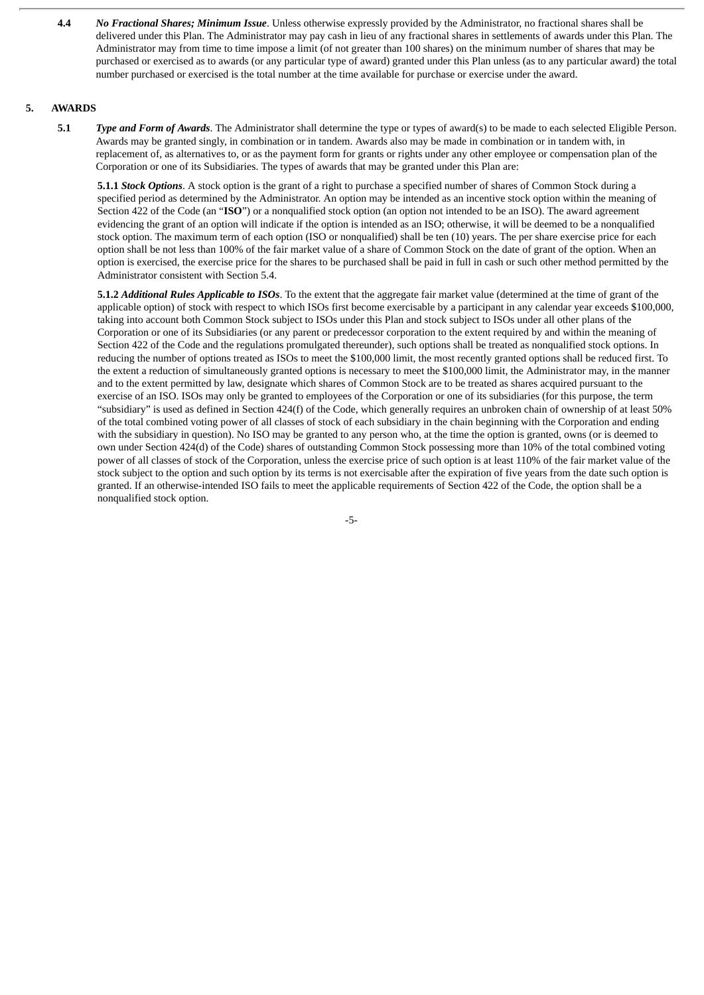**4.4** *No Fractional Shares; Minimum Issue*. Unless otherwise expressly provided by the Administrator, no fractional shares shall be delivered under this Plan. The Administrator may pay cash in lieu of any fractional shares in settlements of awards under this Plan. The Administrator may from time to time impose a limit (of not greater than 100 shares) on the minimum number of shares that may be purchased or exercised as to awards (or any particular type of award) granted under this Plan unless (as to any particular award) the total number purchased or exercised is the total number at the time available for purchase or exercise under the award.

#### **5. AWARDS**

**5.1** *Type and Form of Awards*. The Administrator shall determine the type or types of award(s) to be made to each selected Eligible Person. Awards may be granted singly, in combination or in tandem. Awards also may be made in combination or in tandem with, in replacement of, as alternatives to, or as the payment form for grants or rights under any other employee or compensation plan of the Corporation or one of its Subsidiaries. The types of awards that may be granted under this Plan are:

**5.1.1** *Stock Options*. A stock option is the grant of a right to purchase a specified number of shares of Common Stock during a specified period as determined by the Administrator. An option may be intended as an incentive stock option within the meaning of Section 422 of the Code (an "**ISO**") or a nonqualified stock option (an option not intended to be an ISO). The award agreement evidencing the grant of an option will indicate if the option is intended as an ISO; otherwise, it will be deemed to be a nonqualified stock option. The maximum term of each option (ISO or nonqualified) shall be ten (10) years. The per share exercise price for each option shall be not less than 100% of the fair market value of a share of Common Stock on the date of grant of the option. When an option is exercised, the exercise price for the shares to be purchased shall be paid in full in cash or such other method permitted by the Administrator consistent with Section 5.4.

**5.1.2** *Additional Rules Applicable to ISOs*. To the extent that the aggregate fair market value (determined at the time of grant of the applicable option) of stock with respect to which ISOs first become exercisable by a participant in any calendar year exceeds \$100,000, taking into account both Common Stock subject to ISOs under this Plan and stock subject to ISOs under all other plans of the Corporation or one of its Subsidiaries (or any parent or predecessor corporation to the extent required by and within the meaning of Section 422 of the Code and the regulations promulgated thereunder), such options shall be treated as nonqualified stock options. In reducing the number of options treated as ISOs to meet the \$100,000 limit, the most recently granted options shall be reduced first. To the extent a reduction of simultaneously granted options is necessary to meet the \$100,000 limit, the Administrator may, in the manner and to the extent permitted by law, designate which shares of Common Stock are to be treated as shares acquired pursuant to the exercise of an ISO. ISOs may only be granted to employees of the Corporation or one of its subsidiaries (for this purpose, the term "subsidiary" is used as defined in Section 424(f) of the Code, which generally requires an unbroken chain of ownership of at least 50% of the total combined voting power of all classes of stock of each subsidiary in the chain beginning with the Corporation and ending with the subsidiary in question). No ISO may be granted to any person who, at the time the option is granted, owns (or is deemed to own under Section 424(d) of the Code) shares of outstanding Common Stock possessing more than 10% of the total combined voting power of all classes of stock of the Corporation, unless the exercise price of such option is at least 110% of the fair market value of the stock subject to the option and such option by its terms is not exercisable after the expiration of five years from the date such option is granted. If an otherwise-intended ISO fails to meet the applicable requirements of Section 422 of the Code, the option shall be a nonqualified stock option.

-5-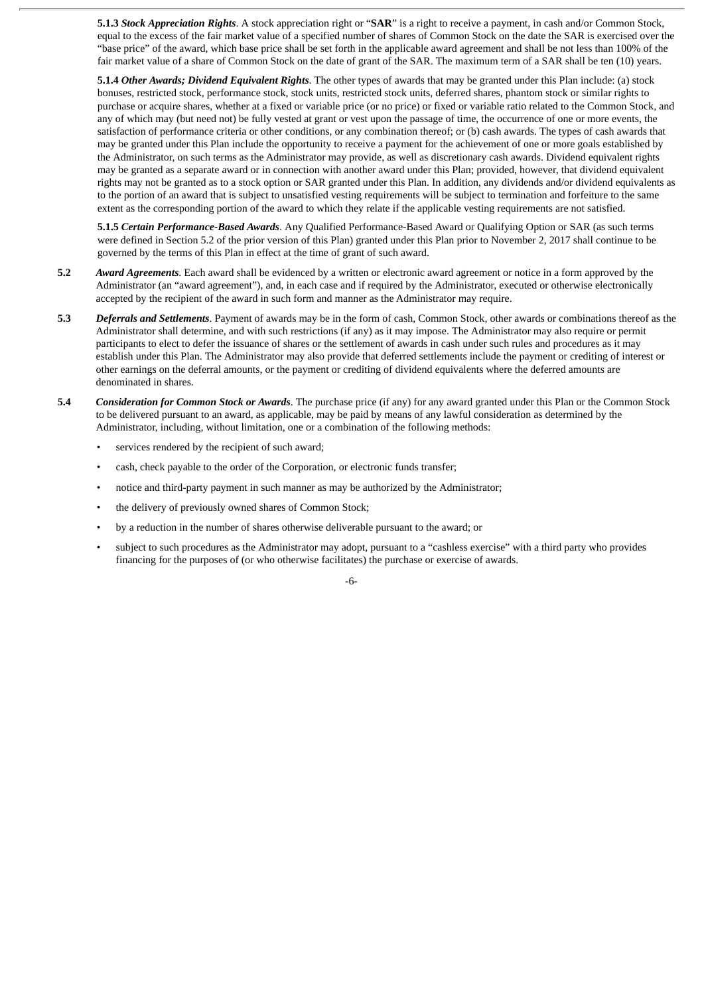**5.1.3** *Stock Appreciation Rights*. A stock appreciation right or "**SAR**" is a right to receive a payment, in cash and/or Common Stock, equal to the excess of the fair market value of a specified number of shares of Common Stock on the date the SAR is exercised over the "base price" of the award, which base price shall be set forth in the applicable award agreement and shall be not less than 100% of the fair market value of a share of Common Stock on the date of grant of the SAR. The maximum term of a SAR shall be ten (10) years.

**5.1.4** *Other Awards; Dividend Equivalent Rights*. The other types of awards that may be granted under this Plan include: (a) stock bonuses, restricted stock, performance stock, stock units, restricted stock units, deferred shares, phantom stock or similar rights to purchase or acquire shares, whether at a fixed or variable price (or no price) or fixed or variable ratio related to the Common Stock, and any of which may (but need not) be fully vested at grant or vest upon the passage of time, the occurrence of one or more events, the satisfaction of performance criteria or other conditions, or any combination thereof; or (b) cash awards. The types of cash awards that may be granted under this Plan include the opportunity to receive a payment for the achievement of one or more goals established by the Administrator, on such terms as the Administrator may provide, as well as discretionary cash awards. Dividend equivalent rights may be granted as a separate award or in connection with another award under this Plan; provided, however, that dividend equivalent rights may not be granted as to a stock option or SAR granted under this Plan. In addition, any dividends and/or dividend equivalents as to the portion of an award that is subject to unsatisfied vesting requirements will be subject to termination and forfeiture to the same extent as the corresponding portion of the award to which they relate if the applicable vesting requirements are not satisfied.

**5.1.5** *Certain Performance-Based Awards*. Any Qualified Performance-Based Award or Qualifying Option or SAR (as such terms were defined in Section 5.2 of the prior version of this Plan) granted under this Plan prior to November 2, 2017 shall continue to be governed by the terms of this Plan in effect at the time of grant of such award.

- **5.2** *Award Agreements*. Each award shall be evidenced by a written or electronic award agreement or notice in a form approved by the Administrator (an "award agreement"), and, in each case and if required by the Administrator, executed or otherwise electronically accepted by the recipient of the award in such form and manner as the Administrator may require.
- **5.3** *Deferrals and Settlements*. Payment of awards may be in the form of cash, Common Stock, other awards or combinations thereof as the Administrator shall determine, and with such restrictions (if any) as it may impose. The Administrator may also require or permit participants to elect to defer the issuance of shares or the settlement of awards in cash under such rules and procedures as it may establish under this Plan. The Administrator may also provide that deferred settlements include the payment or crediting of interest or other earnings on the deferral amounts, or the payment or crediting of dividend equivalents where the deferred amounts are denominated in shares.
- **5.4** *Consideration for Common Stock or Awards*. The purchase price (if any) for any award granted under this Plan or the Common Stock to be delivered pursuant to an award, as applicable, may be paid by means of any lawful consideration as determined by the Administrator, including, without limitation, one or a combination of the following methods:
	- services rendered by the recipient of such award;
	- cash, check payable to the order of the Corporation, or electronic funds transfer;
	- notice and third-party payment in such manner as may be authorized by the Administrator;
	- the delivery of previously owned shares of Common Stock;
	- by a reduction in the number of shares otherwise deliverable pursuant to the award; or
	- subject to such procedures as the Administrator may adopt, pursuant to a "cashless exercise" with a third party who provides financing for the purposes of (or who otherwise facilitates) the purchase or exercise of awards.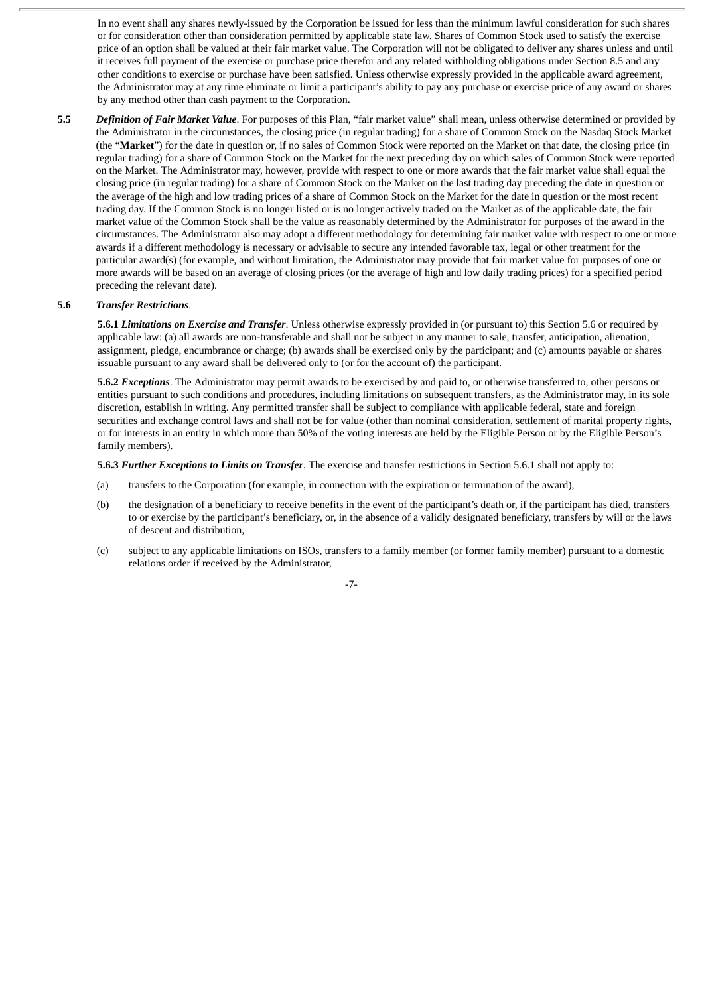In no event shall any shares newly-issued by the Corporation be issued for less than the minimum lawful consideration for such shares or for consideration other than consideration permitted by applicable state law. Shares of Common Stock used to satisfy the exercise price of an option shall be valued at their fair market value. The Corporation will not be obligated to deliver any shares unless and until it receives full payment of the exercise or purchase price therefor and any related withholding obligations under Section 8.5 and any other conditions to exercise or purchase have been satisfied. Unless otherwise expressly provided in the applicable award agreement, the Administrator may at any time eliminate or limit a participant's ability to pay any purchase or exercise price of any award or shares by any method other than cash payment to the Corporation.

**5.5** *Definition of Fair Market Value*. For purposes of this Plan, "fair market value" shall mean, unless otherwise determined or provided by the Administrator in the circumstances, the closing price (in regular trading) for a share of Common Stock on the Nasdaq Stock Market (the "**Market**") for the date in question or, if no sales of Common Stock were reported on the Market on that date, the closing price (in regular trading) for a share of Common Stock on the Market for the next preceding day on which sales of Common Stock were reported on the Market. The Administrator may, however, provide with respect to one or more awards that the fair market value shall equal the closing price (in regular trading) for a share of Common Stock on the Market on the last trading day preceding the date in question or the average of the high and low trading prices of a share of Common Stock on the Market for the date in question or the most recent trading day. If the Common Stock is no longer listed or is no longer actively traded on the Market as of the applicable date, the fair market value of the Common Stock shall be the value as reasonably determined by the Administrator for purposes of the award in the circumstances. The Administrator also may adopt a different methodology for determining fair market value with respect to one or more awards if a different methodology is necessary or advisable to secure any intended favorable tax, legal or other treatment for the particular award(s) (for example, and without limitation, the Administrator may provide that fair market value for purposes of one or more awards will be based on an average of closing prices (or the average of high and low daily trading prices) for a specified period preceding the relevant date).

#### **5.6** *Transfer Restrictions*.

**5.6.1** *Limitations on Exercise and Transfer*. Unless otherwise expressly provided in (or pursuant to) this Section 5.6 or required by applicable law: (a) all awards are non-transferable and shall not be subject in any manner to sale, transfer, anticipation, alienation, assignment, pledge, encumbrance or charge; (b) awards shall be exercised only by the participant; and (c) amounts payable or shares issuable pursuant to any award shall be delivered only to (or for the account of) the participant.

**5.6.2** *Exceptions*. The Administrator may permit awards to be exercised by and paid to, or otherwise transferred to, other persons or entities pursuant to such conditions and procedures, including limitations on subsequent transfers, as the Administrator may, in its sole discretion, establish in writing. Any permitted transfer shall be subject to compliance with applicable federal, state and foreign securities and exchange control laws and shall not be for value (other than nominal consideration, settlement of marital property rights, or for interests in an entity in which more than 50% of the voting interests are held by the Eligible Person or by the Eligible Person's family members).

**5.6.3** *Further Exceptions to Limits on Transfer*. The exercise and transfer restrictions in Section 5.6.1 shall not apply to:

- (a) transfers to the Corporation (for example, in connection with the expiration or termination of the award),
- (b) the designation of a beneficiary to receive benefits in the event of the participant's death or, if the participant has died, transfers to or exercise by the participant's beneficiary, or, in the absence of a validly designated beneficiary, transfers by will or the laws of descent and distribution,
- (c) subject to any applicable limitations on ISOs, transfers to a family member (or former family member) pursuant to a domestic relations order if received by the Administrator,

-7-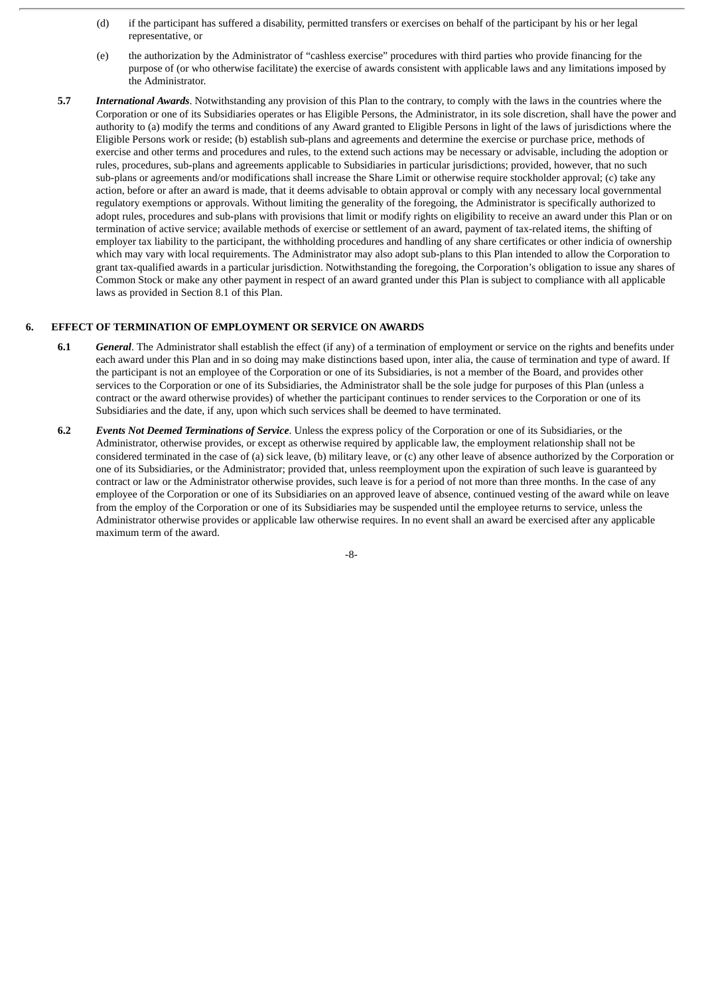- (d) if the participant has suffered a disability, permitted transfers or exercises on behalf of the participant by his or her legal representative, or
- (e) the authorization by the Administrator of "cashless exercise" procedures with third parties who provide financing for the purpose of (or who otherwise facilitate) the exercise of awards consistent with applicable laws and any limitations imposed by the Administrator.
- **5.7** *International Awards*. Notwithstanding any provision of this Plan to the contrary, to comply with the laws in the countries where the Corporation or one of its Subsidiaries operates or has Eligible Persons, the Administrator, in its sole discretion, shall have the power and authority to (a) modify the terms and conditions of any Award granted to Eligible Persons in light of the laws of jurisdictions where the Eligible Persons work or reside; (b) establish sub-plans and agreements and determine the exercise or purchase price, methods of exercise and other terms and procedures and rules, to the extend such actions may be necessary or advisable, including the adoption or rules, procedures, sub-plans and agreements applicable to Subsidiaries in particular jurisdictions; provided, however, that no such sub-plans or agreements and/or modifications shall increase the Share Limit or otherwise require stockholder approval; (c) take any action, before or after an award is made, that it deems advisable to obtain approval or comply with any necessary local governmental regulatory exemptions or approvals. Without limiting the generality of the foregoing, the Administrator is specifically authorized to adopt rules, procedures and sub-plans with provisions that limit or modify rights on eligibility to receive an award under this Plan or on termination of active service; available methods of exercise or settlement of an award, payment of tax-related items, the shifting of employer tax liability to the participant, the withholding procedures and handling of any share certificates or other indicia of ownership which may vary with local requirements. The Administrator may also adopt sub-plans to this Plan intended to allow the Corporation to grant tax-qualified awards in a particular jurisdiction. Notwithstanding the foregoing, the Corporation's obligation to issue any shares of Common Stock or make any other payment in respect of an award granted under this Plan is subject to compliance with all applicable laws as provided in Section 8.1 of this Plan.

# **6. EFFECT OF TERMINATION OF EMPLOYMENT OR SERVICE ON AWARDS**

- **6.1** *General*. The Administrator shall establish the effect (if any) of a termination of employment or service on the rights and benefits under each award under this Plan and in so doing may make distinctions based upon, inter alia, the cause of termination and type of award. If the participant is not an employee of the Corporation or one of its Subsidiaries, is not a member of the Board, and provides other services to the Corporation or one of its Subsidiaries, the Administrator shall be the sole judge for purposes of this Plan (unless a contract or the award otherwise provides) of whether the participant continues to render services to the Corporation or one of its Subsidiaries and the date, if any, upon which such services shall be deemed to have terminated.
- **6.2** *Events Not Deemed Terminations of Service*. Unless the express policy of the Corporation or one of its Subsidiaries, or the Administrator, otherwise provides, or except as otherwise required by applicable law, the employment relationship shall not be considered terminated in the case of (a) sick leave, (b) military leave, or (c) any other leave of absence authorized by the Corporation or one of its Subsidiaries, or the Administrator; provided that, unless reemployment upon the expiration of such leave is guaranteed by contract or law or the Administrator otherwise provides, such leave is for a period of not more than three months. In the case of any employee of the Corporation or one of its Subsidiaries on an approved leave of absence, continued vesting of the award while on leave from the employ of the Corporation or one of its Subsidiaries may be suspended until the employee returns to service, unless the Administrator otherwise provides or applicable law otherwise requires. In no event shall an award be exercised after any applicable maximum term of the award.

-8-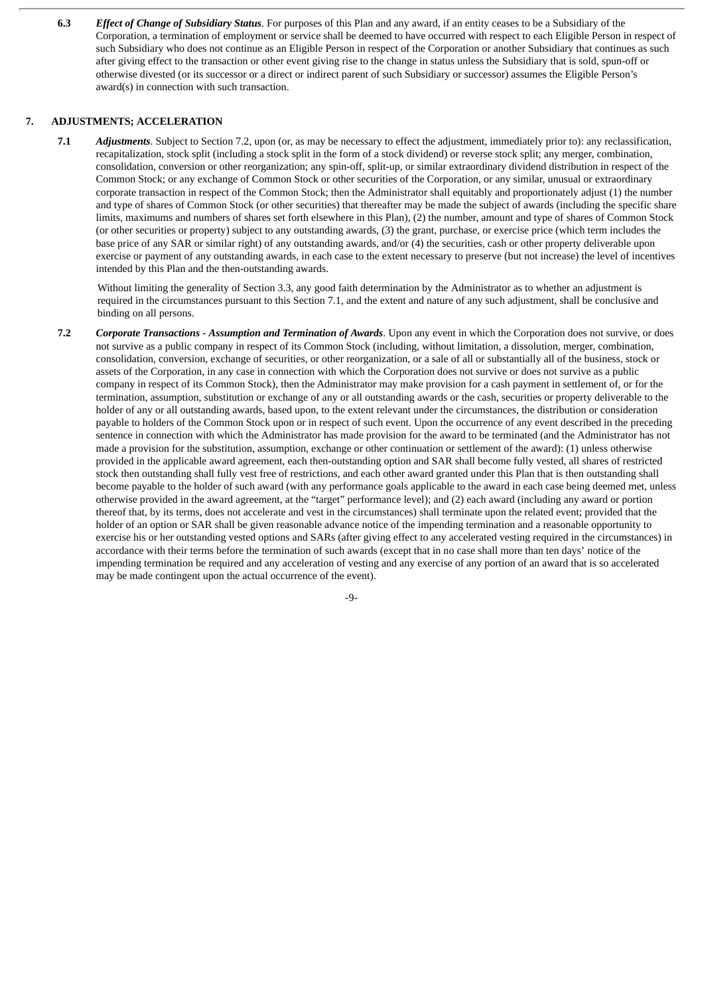**6.3** *Effect of Change of Subsidiary Status*. For purposes of this Plan and any award, if an entity ceases to be a Subsidiary of the Corporation, a termination of employment or service shall be deemed to have occurred with respect to each Eligible Person in respect of such Subsidiary who does not continue as an Eligible Person in respect of the Corporation or another Subsidiary that continues as such after giving effect to the transaction or other event giving rise to the change in status unless the Subsidiary that is sold, spun-off or otherwise divested (or its successor or a direct or indirect parent of such Subsidiary or successor) assumes the Eligible Person's award(s) in connection with such transaction.

# **7. ADJUSTMENTS; ACCELERATION**

**7.1** *Adjustments*. Subject to Section 7.2, upon (or, as may be necessary to effect the adjustment, immediately prior to): any reclassification, recapitalization, stock split (including a stock split in the form of a stock dividend) or reverse stock split; any merger, combination, consolidation, conversion or other reorganization; any spin-off, split-up, or similar extraordinary dividend distribution in respect of the Common Stock; or any exchange of Common Stock or other securities of the Corporation, or any similar, unusual or extraordinary corporate transaction in respect of the Common Stock; then the Administrator shall equitably and proportionately adjust (1) the number and type of shares of Common Stock (or other securities) that thereafter may be made the subject of awards (including the specific share limits, maximums and numbers of shares set forth elsewhere in this Plan), (2) the number, amount and type of shares of Common Stock (or other securities or property) subject to any outstanding awards, (3) the grant, purchase, or exercise price (which term includes the base price of any SAR or similar right) of any outstanding awards, and/or (4) the securities, cash or other property deliverable upon exercise or payment of any outstanding awards, in each case to the extent necessary to preserve (but not increase) the level of incentives intended by this Plan and the then-outstanding awards.

Without limiting the generality of Section 3.3, any good faith determination by the Administrator as to whether an adjustment is required in the circumstances pursuant to this Section 7.1, and the extent and nature of any such adjustment, shall be conclusive and binding on all persons.

**7.2** *Corporate Transactions - Assumption and Termination of Awards*. Upon any event in which the Corporation does not survive, or does not survive as a public company in respect of its Common Stock (including, without limitation, a dissolution, merger, combination, consolidation, conversion, exchange of securities, or other reorganization, or a sale of all or substantially all of the business, stock or assets of the Corporation, in any case in connection with which the Corporation does not survive or does not survive as a public company in respect of its Common Stock), then the Administrator may make provision for a cash payment in settlement of, or for the termination, assumption, substitution or exchange of any or all outstanding awards or the cash, securities or property deliverable to the holder of any or all outstanding awards, based upon, to the extent relevant under the circumstances, the distribution or consideration payable to holders of the Common Stock upon or in respect of such event. Upon the occurrence of any event described in the preceding sentence in connection with which the Administrator has made provision for the award to be terminated (and the Administrator has not made a provision for the substitution, assumption, exchange or other continuation or settlement of the award): (1) unless otherwise provided in the applicable award agreement, each then-outstanding option and SAR shall become fully vested, all shares of restricted stock then outstanding shall fully vest free of restrictions, and each other award granted under this Plan that is then outstanding shall become payable to the holder of such award (with any performance goals applicable to the award in each case being deemed met, unless otherwise provided in the award agreement, at the "target" performance level); and (2) each award (including any award or portion thereof that, by its terms, does not accelerate and vest in the circumstances) shall terminate upon the related event; provided that the holder of an option or SAR shall be given reasonable advance notice of the impending termination and a reasonable opportunity to exercise his or her outstanding vested options and SARs (after giving effect to any accelerated vesting required in the circumstances) in accordance with their terms before the termination of such awards (except that in no case shall more than ten days' notice of the impending termination be required and any acceleration of vesting and any exercise of any portion of an award that is so accelerated may be made contingent upon the actual occurrence of the event).

 $-9$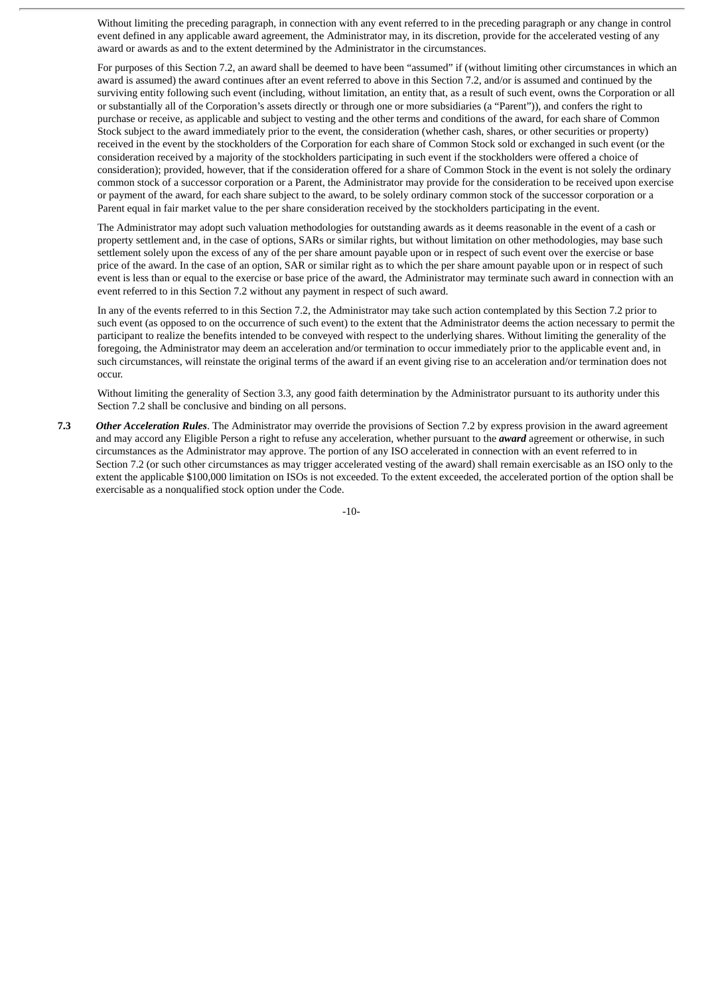Without limiting the preceding paragraph, in connection with any event referred to in the preceding paragraph or any change in control event defined in any applicable award agreement, the Administrator may, in its discretion, provide for the accelerated vesting of any award or awards as and to the extent determined by the Administrator in the circumstances.

For purposes of this Section 7.2, an award shall be deemed to have been "assumed" if (without limiting other circumstances in which an award is assumed) the award continues after an event referred to above in this Section 7.2, and/or is assumed and continued by the surviving entity following such event (including, without limitation, an entity that, as a result of such event, owns the Corporation or all or substantially all of the Corporation's assets directly or through one or more subsidiaries (a "Parent")), and confers the right to purchase or receive, as applicable and subject to vesting and the other terms and conditions of the award, for each share of Common Stock subject to the award immediately prior to the event, the consideration (whether cash, shares, or other securities or property) received in the event by the stockholders of the Corporation for each share of Common Stock sold or exchanged in such event (or the consideration received by a majority of the stockholders participating in such event if the stockholders were offered a choice of consideration); provided, however, that if the consideration offered for a share of Common Stock in the event is not solely the ordinary common stock of a successor corporation or a Parent, the Administrator may provide for the consideration to be received upon exercise or payment of the award, for each share subject to the award, to be solely ordinary common stock of the successor corporation or a Parent equal in fair market value to the per share consideration received by the stockholders participating in the event.

The Administrator may adopt such valuation methodologies for outstanding awards as it deems reasonable in the event of a cash or property settlement and, in the case of options, SARs or similar rights, but without limitation on other methodologies, may base such settlement solely upon the excess of any of the per share amount payable upon or in respect of such event over the exercise or base price of the award. In the case of an option, SAR or similar right as to which the per share amount payable upon or in respect of such event is less than or equal to the exercise or base price of the award, the Administrator may terminate such award in connection with an event referred to in this Section 7.2 without any payment in respect of such award.

In any of the events referred to in this Section 7.2, the Administrator may take such action contemplated by this Section 7.2 prior to such event (as opposed to on the occurrence of such event) to the extent that the Administrator deems the action necessary to permit the participant to realize the benefits intended to be conveyed with respect to the underlying shares. Without limiting the generality of the foregoing, the Administrator may deem an acceleration and/or termination to occur immediately prior to the applicable event and, in such circumstances, will reinstate the original terms of the award if an event giving rise to an acceleration and/or termination does not occur.

Without limiting the generality of Section 3.3, any good faith determination by the Administrator pursuant to its authority under this Section 7.2 shall be conclusive and binding on all persons.

**7.3** *Other Acceleration Rules*. The Administrator may override the provisions of Section 7.2 by express provision in the award agreement and may accord any Eligible Person a right to refuse any acceleration, whether pursuant to the *award* agreement or otherwise, in such circumstances as the Administrator may approve. The portion of any ISO accelerated in connection with an event referred to in Section 7.2 (or such other circumstances as may trigger accelerated vesting of the award) shall remain exercisable as an ISO only to the extent the applicable \$100,000 limitation on ISOs is not exceeded. To the extent exceeded, the accelerated portion of the option shall be exercisable as a nonqualified stock option under the Code.

-10-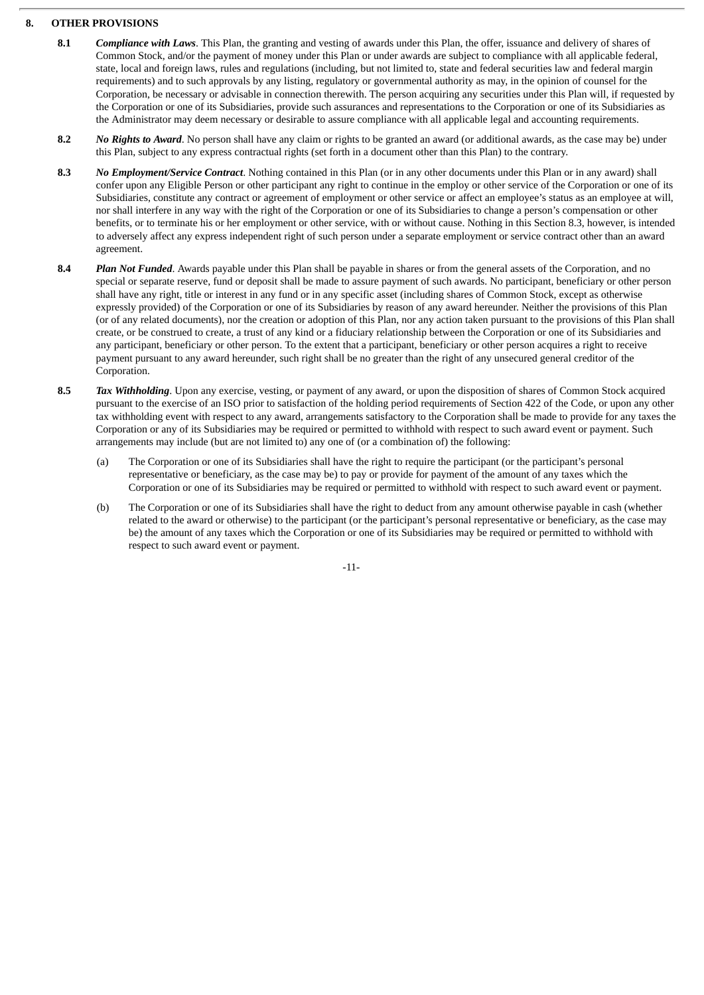## **8. OTHER PROVISIONS**

- **8.1** *Compliance with Laws*. This Plan, the granting and vesting of awards under this Plan, the offer, issuance and delivery of shares of Common Stock, and/or the payment of money under this Plan or under awards are subject to compliance with all applicable federal, state, local and foreign laws, rules and regulations (including, but not limited to, state and federal securities law and federal margin requirements) and to such approvals by any listing, regulatory or governmental authority as may, in the opinion of counsel for the Corporation, be necessary or advisable in connection therewith. The person acquiring any securities under this Plan will, if requested by the Corporation or one of its Subsidiaries, provide such assurances and representations to the Corporation or one of its Subsidiaries as the Administrator may deem necessary or desirable to assure compliance with all applicable legal and accounting requirements.
- **8.2** *No Rights to Award*. No person shall have any claim or rights to be granted an award (or additional awards, as the case may be) under this Plan, subject to any express contractual rights (set forth in a document other than this Plan) to the contrary.
- **8.3** *No Employment/Service Contract*. Nothing contained in this Plan (or in any other documents under this Plan or in any award) shall confer upon any Eligible Person or other participant any right to continue in the employ or other service of the Corporation or one of its Subsidiaries, constitute any contract or agreement of employment or other service or affect an employee's status as an employee at will, nor shall interfere in any way with the right of the Corporation or one of its Subsidiaries to change a person's compensation or other benefits, or to terminate his or her employment or other service, with or without cause. Nothing in this Section 8.3, however, is intended to adversely affect any express independent right of such person under a separate employment or service contract other than an award agreement.
- **8.4** *Plan Not Funded*. Awards payable under this Plan shall be payable in shares or from the general assets of the Corporation, and no special or separate reserve, fund or deposit shall be made to assure payment of such awards. No participant, beneficiary or other person shall have any right, title or interest in any fund or in any specific asset (including shares of Common Stock, except as otherwise expressly provided) of the Corporation or one of its Subsidiaries by reason of any award hereunder. Neither the provisions of this Plan (or of any related documents), nor the creation or adoption of this Plan, nor any action taken pursuant to the provisions of this Plan shall create, or be construed to create, a trust of any kind or a fiduciary relationship between the Corporation or one of its Subsidiaries and any participant, beneficiary or other person. To the extent that a participant, beneficiary or other person acquires a right to receive payment pursuant to any award hereunder, such right shall be no greater than the right of any unsecured general creditor of the Corporation.
- **8.5** *Tax Withholding*. Upon any exercise, vesting, or payment of any award, or upon the disposition of shares of Common Stock acquired pursuant to the exercise of an ISO prior to satisfaction of the holding period requirements of Section 422 of the Code, or upon any other tax withholding event with respect to any award, arrangements satisfactory to the Corporation shall be made to provide for any taxes the Corporation or any of its Subsidiaries may be required or permitted to withhold with respect to such award event or payment. Such arrangements may include (but are not limited to) any one of (or a combination of) the following:
	- (a) The Corporation or one of its Subsidiaries shall have the right to require the participant (or the participant's personal representative or beneficiary, as the case may be) to pay or provide for payment of the amount of any taxes which the Corporation or one of its Subsidiaries may be required or permitted to withhold with respect to such award event or payment.
	- (b) The Corporation or one of its Subsidiaries shall have the right to deduct from any amount otherwise payable in cash (whether related to the award or otherwise) to the participant (or the participant's personal representative or beneficiary, as the case may be) the amount of any taxes which the Corporation or one of its Subsidiaries may be required or permitted to withhold with respect to such award event or payment.

-11-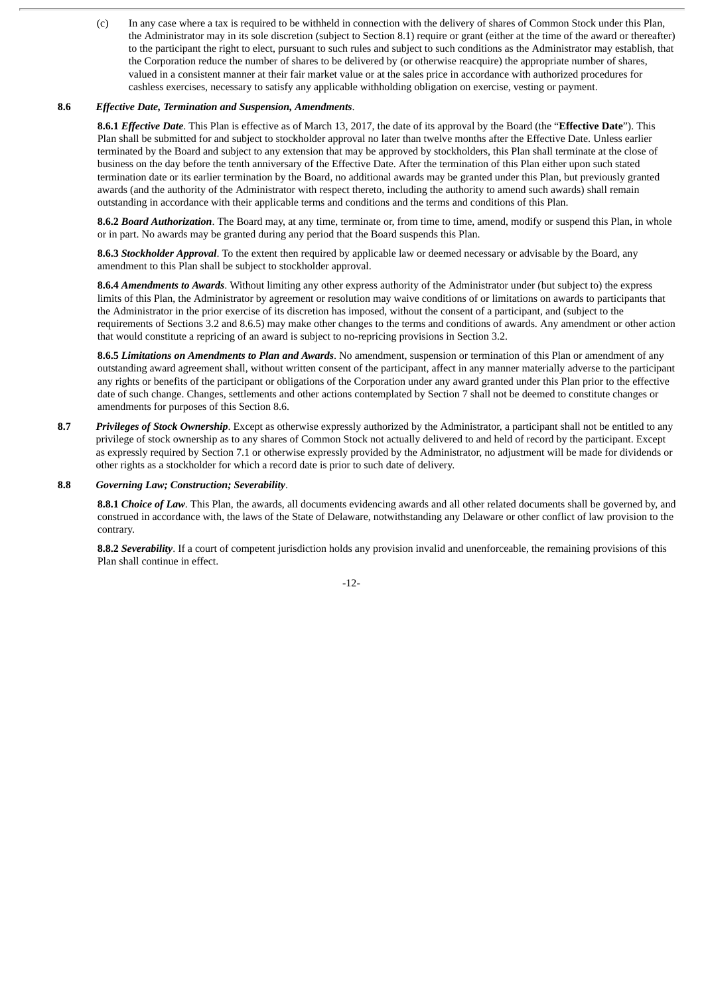(c) In any case where a tax is required to be withheld in connection with the delivery of shares of Common Stock under this Plan, the Administrator may in its sole discretion (subject to Section 8.1) require or grant (either at the time of the award or thereafter) to the participant the right to elect, pursuant to such rules and subject to such conditions as the Administrator may establish, that the Corporation reduce the number of shares to be delivered by (or otherwise reacquire) the appropriate number of shares, valued in a consistent manner at their fair market value or at the sales price in accordance with authorized procedures for cashless exercises, necessary to satisfy any applicable withholding obligation on exercise, vesting or payment.

#### **8.6** *Effective Date, Termination and Suspension, Amendments*.

**8.6.1** *Effective Date*. This Plan is effective as of March 13, 2017, the date of its approval by the Board (the "**Effective Date**"). This Plan shall be submitted for and subject to stockholder approval no later than twelve months after the Effective Date. Unless earlier terminated by the Board and subject to any extension that may be approved by stockholders, this Plan shall terminate at the close of business on the day before the tenth anniversary of the Effective Date. After the termination of this Plan either upon such stated termination date or its earlier termination by the Board, no additional awards may be granted under this Plan, but previously granted awards (and the authority of the Administrator with respect thereto, including the authority to amend such awards) shall remain outstanding in accordance with their applicable terms and conditions and the terms and conditions of this Plan.

**8.6.2** *Board Authorization*. The Board may, at any time, terminate or, from time to time, amend, modify or suspend this Plan, in whole or in part. No awards may be granted during any period that the Board suspends this Plan.

**8.6.3** *Stockholder Approval*. To the extent then required by applicable law or deemed necessary or advisable by the Board, any amendment to this Plan shall be subject to stockholder approval.

**8.6.4** *Amendments to Awards*. Without limiting any other express authority of the Administrator under (but subject to) the express limits of this Plan, the Administrator by agreement or resolution may waive conditions of or limitations on awards to participants that the Administrator in the prior exercise of its discretion has imposed, without the consent of a participant, and (subject to the requirements of Sections 3.2 and 8.6.5) may make other changes to the terms and conditions of awards. Any amendment or other action that would constitute a repricing of an award is subject to no-repricing provisions in Section 3.2.

**8.6.5** *Limitations on Amendments to Plan and Awards*. No amendment, suspension or termination of this Plan or amendment of any outstanding award agreement shall, without written consent of the participant, affect in any manner materially adverse to the participant any rights or benefits of the participant or obligations of the Corporation under any award granted under this Plan prior to the effective date of such change. Changes, settlements and other actions contemplated by Section 7 shall not be deemed to constitute changes or amendments for purposes of this Section 8.6.

**8.7** *Privileges of Stock Ownership*. Except as otherwise expressly authorized by the Administrator, a participant shall not be entitled to any privilege of stock ownership as to any shares of Common Stock not actually delivered to and held of record by the participant. Except as expressly required by Section 7.1 or otherwise expressly provided by the Administrator, no adjustment will be made for dividends or other rights as a stockholder for which a record date is prior to such date of delivery.

#### **8.8** *Governing Law; Construction; Severability*.

**8.8.1** *Choice of Law*. This Plan, the awards, all documents evidencing awards and all other related documents shall be governed by, and construed in accordance with, the laws of the State of Delaware, notwithstanding any Delaware or other conflict of law provision to the contrary.

**8.8.2** *Severability*. If a court of competent jurisdiction holds any provision invalid and unenforceable, the remaining provisions of this Plan shall continue in effect.

-12-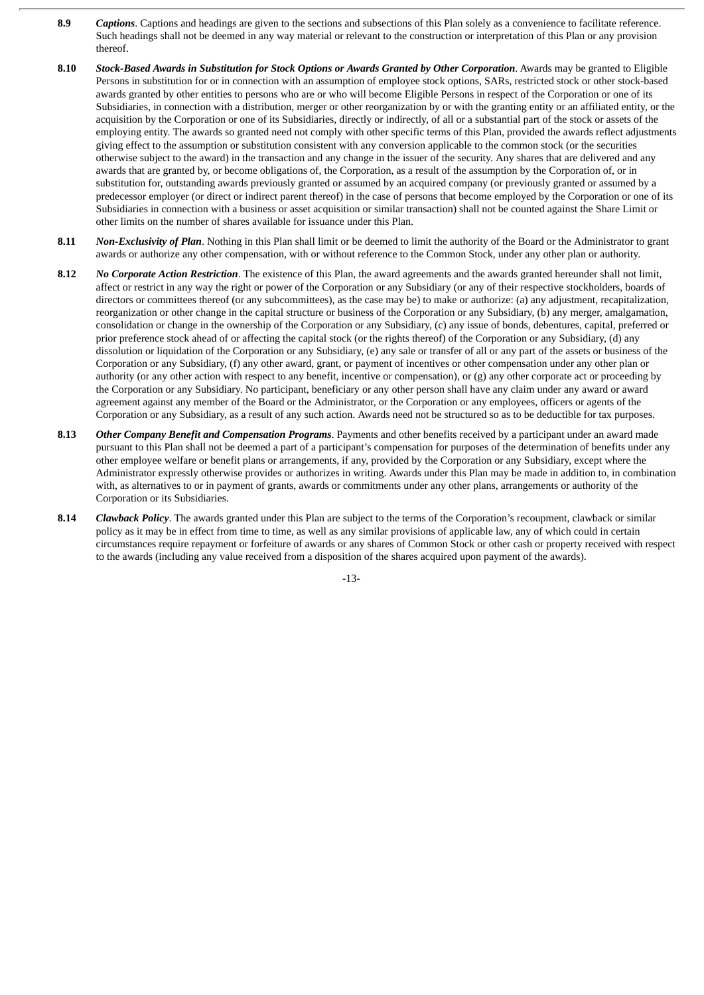- **8.9** *Captions*. Captions and headings are given to the sections and subsections of this Plan solely as a convenience to facilitate reference. Such headings shall not be deemed in any way material or relevant to the construction or interpretation of this Plan or any provision thereof.
- 8.10 Stock-Based Awards in Substitution for Stock Options or Awards Granted by Other Corporation. Awards may be granted to Eligible Persons in substitution for or in connection with an assumption of employee stock options, SARs, restricted stock or other stock-based awards granted by other entities to persons who are or who will become Eligible Persons in respect of the Corporation or one of its Subsidiaries, in connection with a distribution, merger or other reorganization by or with the granting entity or an affiliated entity, or the acquisition by the Corporation or one of its Subsidiaries, directly or indirectly, of all or a substantial part of the stock or assets of the employing entity. The awards so granted need not comply with other specific terms of this Plan, provided the awards reflect adjustments giving effect to the assumption or substitution consistent with any conversion applicable to the common stock (or the securities otherwise subject to the award) in the transaction and any change in the issuer of the security. Any shares that are delivered and any awards that are granted by, or become obligations of, the Corporation, as a result of the assumption by the Corporation of, or in substitution for, outstanding awards previously granted or assumed by an acquired company (or previously granted or assumed by a predecessor employer (or direct or indirect parent thereof) in the case of persons that become employed by the Corporation or one of its Subsidiaries in connection with a business or asset acquisition or similar transaction) shall not be counted against the Share Limit or other limits on the number of shares available for issuance under this Plan.
- **8.11** *Non-Exclusivity of Plan*. Nothing in this Plan shall limit or be deemed to limit the authority of the Board or the Administrator to grant awards or authorize any other compensation, with or without reference to the Common Stock, under any other plan or authority.
- **8.12** *No Corporate Action Restriction*. The existence of this Plan, the award agreements and the awards granted hereunder shall not limit, affect or restrict in any way the right or power of the Corporation or any Subsidiary (or any of their respective stockholders, boards of directors or committees thereof (or any subcommittees), as the case may be) to make or authorize: (a) any adjustment, recapitalization, reorganization or other change in the capital structure or business of the Corporation or any Subsidiary, (b) any merger, amalgamation, consolidation or change in the ownership of the Corporation or any Subsidiary, (c) any issue of bonds, debentures, capital, preferred or prior preference stock ahead of or affecting the capital stock (or the rights thereof) of the Corporation or any Subsidiary, (d) any dissolution or liquidation of the Corporation or any Subsidiary, (e) any sale or transfer of all or any part of the assets or business of the Corporation or any Subsidiary, (f) any other award, grant, or payment of incentives or other compensation under any other plan or authority (or any other action with respect to any benefit, incentive or compensation), or (g) any other corporate act or proceeding by the Corporation or any Subsidiary. No participant, beneficiary or any other person shall have any claim under any award or award agreement against any member of the Board or the Administrator, or the Corporation or any employees, officers or agents of the Corporation or any Subsidiary, as a result of any such action. Awards need not be structured so as to be deductible for tax purposes.
- **8.13** *Other Company Benefit and Compensation Programs*. Payments and other benefits received by a participant under an award made pursuant to this Plan shall not be deemed a part of a participant's compensation for purposes of the determination of benefits under any other employee welfare or benefit plans or arrangements, if any, provided by the Corporation or any Subsidiary, except where the Administrator expressly otherwise provides or authorizes in writing. Awards under this Plan may be made in addition to, in combination with, as alternatives to or in payment of grants, awards or commitments under any other plans, arrangements or authority of the Corporation or its Subsidiaries.
- **8.14** *Clawback Policy*. The awards granted under this Plan are subject to the terms of the Corporation's recoupment, clawback or similar policy as it may be in effect from time to time, as well as any similar provisions of applicable law, any of which could in certain circumstances require repayment or forfeiture of awards or any shares of Common Stock or other cash or property received with respect to the awards (including any value received from a disposition of the shares acquired upon payment of the awards).

-13-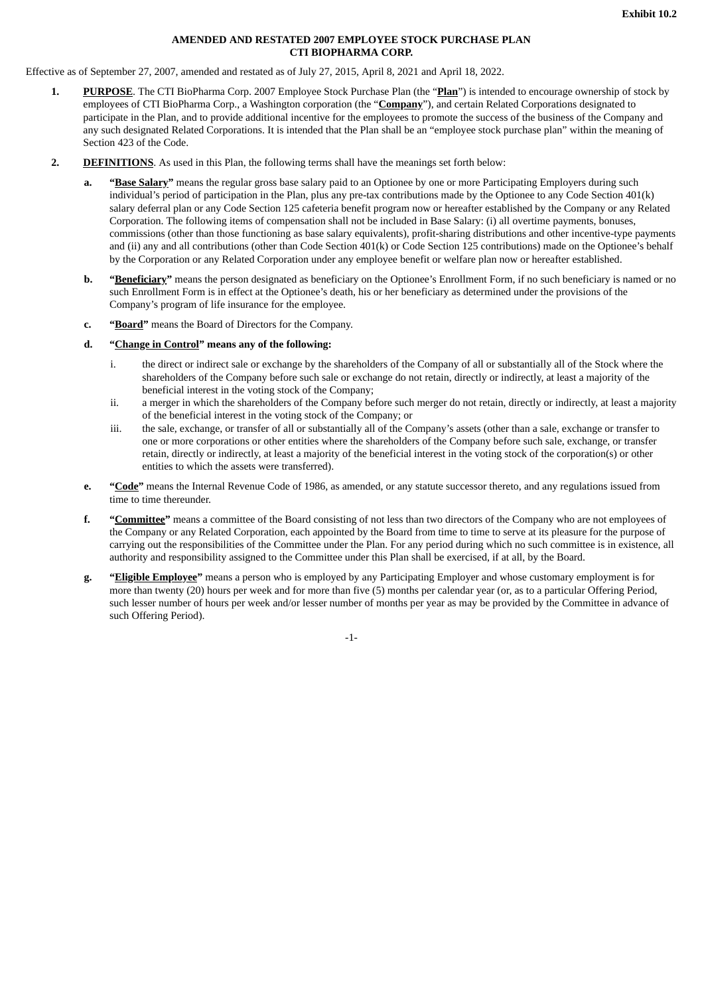#### **AMENDED AND RESTATED 2007 EMPLOYEE STOCK PURCHASE PLAN CTI BIOPHARMA CORP.**

<span id="page-17-0"></span>Effective as of September 27, 2007, amended and restated as of July 27, 2015, April 8, 2021 and April 18, 2022.

- **1. PURPOSE**. The CTI BioPharma Corp. 2007 Employee Stock Purchase Plan (the "**Plan**") is intended to encourage ownership of stock by employees of CTI BioPharma Corp., a Washington corporation (the "**Company**"), and certain Related Corporations designated to participate in the Plan, and to provide additional incentive for the employees to promote the success of the business of the Company and any such designated Related Corporations. It is intended that the Plan shall be an "employee stock purchase plan" within the meaning of Section 423 of the Code.
- **2. DEFINITIONS**. As used in this Plan, the following terms shall have the meanings set forth below:
	- **a. "Base Salary"** means the regular gross base salary paid to an Optionee by one or more Participating Employers during such individual's period of participation in the Plan, plus any pre-tax contributions made by the Optionee to any Code Section 401(k) salary deferral plan or any Code Section 125 cafeteria benefit program now or hereafter established by the Company or any Related Corporation. The following items of compensation shall not be included in Base Salary: (i) all overtime payments, bonuses, commissions (other than those functioning as base salary equivalents), profit-sharing distributions and other incentive-type payments and (ii) any and all contributions (other than Code Section 401(k) or Code Section 125 contributions) made on the Optionee's behalf by the Corporation or any Related Corporation under any employee benefit or welfare plan now or hereafter established.
	- **b. "Beneficiary"** means the person designated as beneficiary on the Optionee's Enrollment Form, if no such beneficiary is named or no such Enrollment Form is in effect at the Optionee's death, his or her beneficiary as determined under the provisions of the Company's program of life insurance for the employee.
	- **c. "Board"** means the Board of Directors for the Company.
	- **d. "Change in Control" means any of the following:**
		- i. the direct or indirect sale or exchange by the shareholders of the Company of all or substantially all of the Stock where the shareholders of the Company before such sale or exchange do not retain, directly or indirectly, at least a majority of the beneficial interest in the voting stock of the Company;
		- ii. a merger in which the shareholders of the Company before such merger do not retain, directly or indirectly, at least a majority of the beneficial interest in the voting stock of the Company; or
		- iii. the sale, exchange, or transfer of all or substantially all of the Company's assets (other than a sale, exchange or transfer to one or more corporations or other entities where the shareholders of the Company before such sale, exchange, or transfer retain, directly or indirectly, at least a majority of the beneficial interest in the voting stock of the corporation(s) or other entities to which the assets were transferred).
	- **e. "Code"** means the Internal Revenue Code of 1986, as amended, or any statute successor thereto, and any regulations issued from time to time thereunder.
	- **f. "Committee"** means a committee of the Board consisting of not less than two directors of the Company who are not employees of the Company or any Related Corporation, each appointed by the Board from time to time to serve at its pleasure for the purpose of carrying out the responsibilities of the Committee under the Plan. For any period during which no such committee is in existence, all authority and responsibility assigned to the Committee under this Plan shall be exercised, if at all, by the Board.
	- **g. "Eligible Employee"** means a person who is employed by any Participating Employer and whose customary employment is for more than twenty (20) hours per week and for more than five (5) months per calendar year (or, as to a particular Offering Period, such lesser number of hours per week and/or lesser number of months per year as may be provided by the Committee in advance of such Offering Period).

-1-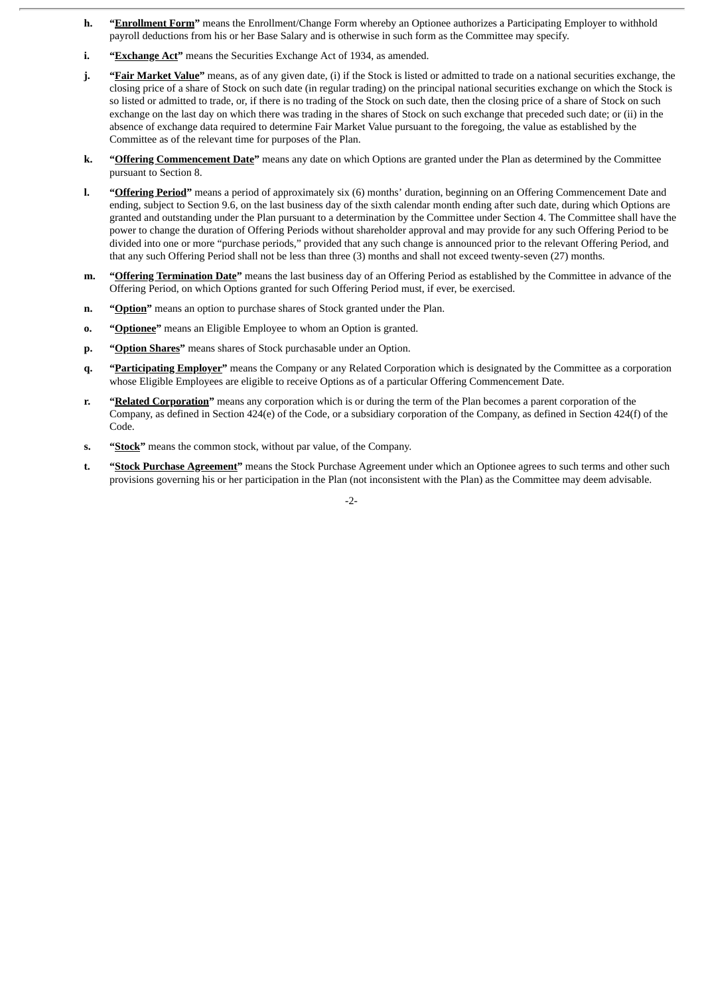- **h. "Enrollment Form"** means the Enrollment/Change Form whereby an Optionee authorizes a Participating Employer to withhold payroll deductions from his or her Base Salary and is otherwise in such form as the Committee may specify.
- **i. "Exchange Act"** means the Securities Exchange Act of 1934, as amended.
- **j. "Fair Market Value"** means, as of any given date, (i) if the Stock is listed or admitted to trade on a national securities exchange, the closing price of a share of Stock on such date (in regular trading) on the principal national securities exchange on which the Stock is so listed or admitted to trade, or, if there is no trading of the Stock on such date, then the closing price of a share of Stock on such exchange on the last day on which there was trading in the shares of Stock on such exchange that preceded such date; or (ii) in the absence of exchange data required to determine Fair Market Value pursuant to the foregoing, the value as established by the Committee as of the relevant time for purposes of the Plan.
- **k. "Offering Commencement Date"** means any date on which Options are granted under the Plan as determined by the Committee pursuant to Section 8.
- **l. "Offering Period"** means a period of approximately six (6) months' duration, beginning on an Offering Commencement Date and ending, subject to Section 9.6, on the last business day of the sixth calendar month ending after such date, during which Options are granted and outstanding under the Plan pursuant to a determination by the Committee under Section 4. The Committee shall have the power to change the duration of Offering Periods without shareholder approval and may provide for any such Offering Period to be divided into one or more "purchase periods," provided that any such change is announced prior to the relevant Offering Period, and that any such Offering Period shall not be less than three (3) months and shall not exceed twenty-seven (27) months.
- **m. "Offering Termination Date"** means the last business day of an Offering Period as established by the Committee in advance of the Offering Period, on which Options granted for such Offering Period must, if ever, be exercised.
- **n. "Option"** means an option to purchase shares of Stock granted under the Plan.
- **o. "Optionee"** means an Eligible Employee to whom an Option is granted.
- **p. "Option Shares"** means shares of Stock purchasable under an Option.
- **q. "Participating Employer"** means the Company or any Related Corporation which is designated by the Committee as a corporation whose Eligible Employees are eligible to receive Options as of a particular Offering Commencement Date.
- **r. "Related Corporation"** means any corporation which is or during the term of the Plan becomes a parent corporation of the Company, as defined in Section 424(e) of the Code, or a subsidiary corporation of the Company, as defined in Section 424(f) of the Code.
- **s. "Stock"** means the common stock, without par value, of the Company.
- **t. "Stock Purchase Agreement"** means the Stock Purchase Agreement under which an Optionee agrees to such terms and other such provisions governing his or her participation in the Plan (not inconsistent with the Plan) as the Committee may deem advisable.

-2-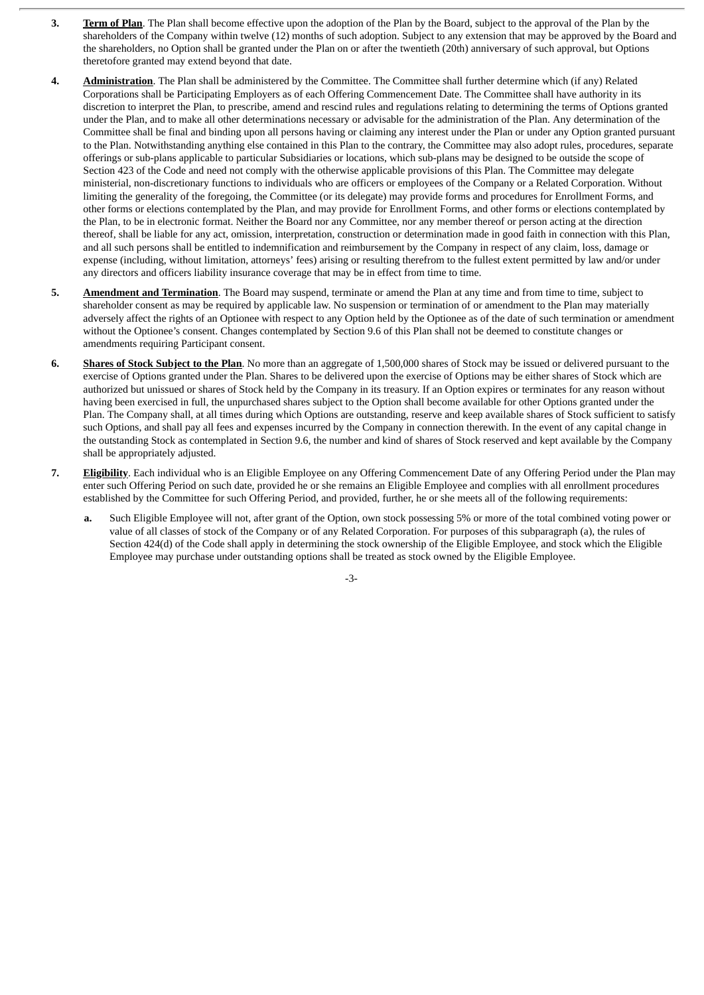- **3. Term of Plan**. The Plan shall become effective upon the adoption of the Plan by the Board, subject to the approval of the Plan by the shareholders of the Company within twelve (12) months of such adoption. Subject to any extension that may be approved by the Board and the shareholders, no Option shall be granted under the Plan on or after the twentieth (20th) anniversary of such approval, but Options theretofore granted may extend beyond that date.
- **4. Administration**. The Plan shall be administered by the Committee. The Committee shall further determine which (if any) Related Corporations shall be Participating Employers as of each Offering Commencement Date. The Committee shall have authority in its discretion to interpret the Plan, to prescribe, amend and rescind rules and regulations relating to determining the terms of Options granted under the Plan, and to make all other determinations necessary or advisable for the administration of the Plan. Any determination of the Committee shall be final and binding upon all persons having or claiming any interest under the Plan or under any Option granted pursuant to the Plan. Notwithstanding anything else contained in this Plan to the contrary, the Committee may also adopt rules, procedures, separate offerings or sub-plans applicable to particular Subsidiaries or locations, which sub-plans may be designed to be outside the scope of Section 423 of the Code and need not comply with the otherwise applicable provisions of this Plan. The Committee may delegate ministerial, non-discretionary functions to individuals who are officers or employees of the Company or a Related Corporation. Without limiting the generality of the foregoing, the Committee (or its delegate) may provide forms and procedures for Enrollment Forms, and other forms or elections contemplated by the Plan, and may provide for Enrollment Forms, and other forms or elections contemplated by the Plan, to be in electronic format. Neither the Board nor any Committee, nor any member thereof or person acting at the direction thereof, shall be liable for any act, omission, interpretation, construction or determination made in good faith in connection with this Plan, and all such persons shall be entitled to indemnification and reimbursement by the Company in respect of any claim, loss, damage or expense (including, without limitation, attorneys' fees) arising or resulting therefrom to the fullest extent permitted by law and/or under any directors and officers liability insurance coverage that may be in effect from time to time.
- **5. Amendment and Termination**. The Board may suspend, terminate or amend the Plan at any time and from time to time, subject to shareholder consent as may be required by applicable law. No suspension or termination of or amendment to the Plan may materially adversely affect the rights of an Optionee with respect to any Option held by the Optionee as of the date of such termination or amendment without the Optionee's consent. Changes contemplated by Section 9.6 of this Plan shall not be deemed to constitute changes or amendments requiring Participant consent.
- **6. Shares of Stock Subject to the Plan**. No more than an aggregate of 1,500,000 shares of Stock may be issued or delivered pursuant to the exercise of Options granted under the Plan. Shares to be delivered upon the exercise of Options may be either shares of Stock which are authorized but unissued or shares of Stock held by the Company in its treasury. If an Option expires or terminates for any reason without having been exercised in full, the unpurchased shares subject to the Option shall become available for other Options granted under the Plan. The Company shall, at all times during which Options are outstanding, reserve and keep available shares of Stock sufficient to satisfy such Options, and shall pay all fees and expenses incurred by the Company in connection therewith. In the event of any capital change in the outstanding Stock as contemplated in Section 9.6, the number and kind of shares of Stock reserved and kept available by the Company shall be appropriately adjusted.
- **7. Eligibility**. Each individual who is an Eligible Employee on any Offering Commencement Date of any Offering Period under the Plan may enter such Offering Period on such date, provided he or she remains an Eligible Employee and complies with all enrollment procedures established by the Committee for such Offering Period, and provided, further, he or she meets all of the following requirements:
	- **a.** Such Eligible Employee will not, after grant of the Option, own stock possessing 5% or more of the total combined voting power or value of all classes of stock of the Company or of any Related Corporation. For purposes of this subparagraph (a), the rules of Section 424(d) of the Code shall apply in determining the stock ownership of the Eligible Employee, and stock which the Eligible Employee may purchase under outstanding options shall be treated as stock owned by the Eligible Employee.

-3-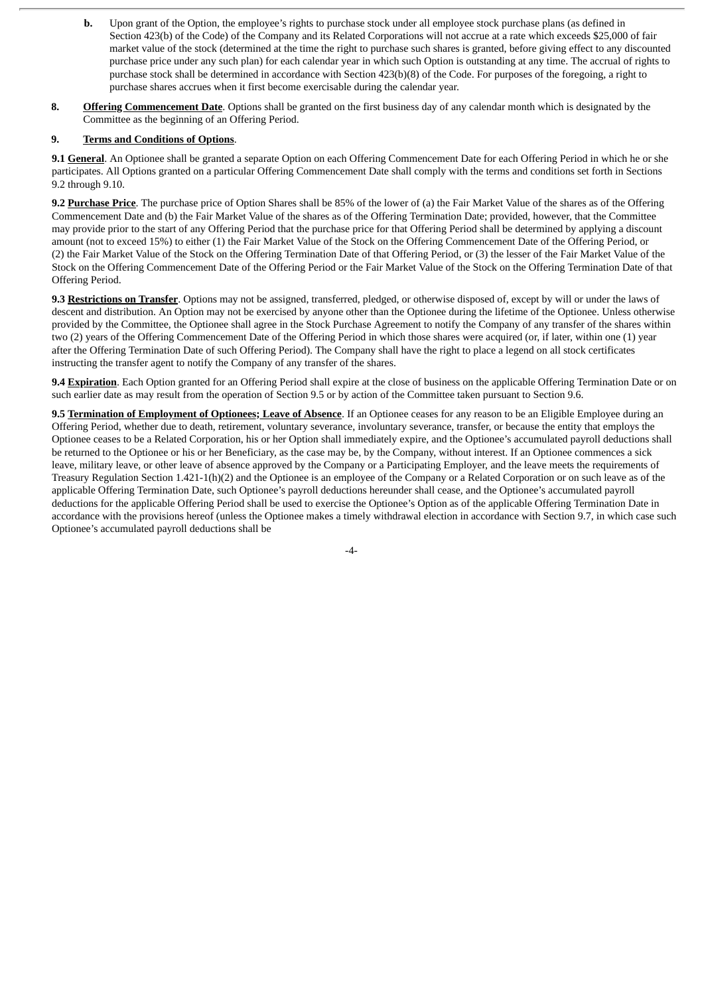- **b.** Upon grant of the Option, the employee's rights to purchase stock under all employee stock purchase plans (as defined in Section 423(b) of the Code) of the Company and its Related Corporations will not accrue at a rate which exceeds \$25,000 of fair market value of the stock (determined at the time the right to purchase such shares is granted, before giving effect to any discounted purchase price under any such plan) for each calendar year in which such Option is outstanding at any time. The accrual of rights to purchase stock shall be determined in accordance with Section 423(b)(8) of the Code. For purposes of the foregoing, a right to purchase shares accrues when it first become exercisable during the calendar year.
- **8. Offering Commencement Date**. Options shall be granted on the first business day of any calendar month which is designated by the Committee as the beginning of an Offering Period.

# **9. Terms and Conditions of Options**.

**9.1 General**. An Optionee shall be granted a separate Option on each Offering Commencement Date for each Offering Period in which he or she participates. All Options granted on a particular Offering Commencement Date shall comply with the terms and conditions set forth in Sections 9.2 through 9.10.

**9.2 Purchase Price**. The purchase price of Option Shares shall be 85% of the lower of (a) the Fair Market Value of the shares as of the Offering Commencement Date and (b) the Fair Market Value of the shares as of the Offering Termination Date; provided, however, that the Committee may provide prior to the start of any Offering Period that the purchase price for that Offering Period shall be determined by applying a discount amount (not to exceed 15%) to either (1) the Fair Market Value of the Stock on the Offering Commencement Date of the Offering Period, or (2) the Fair Market Value of the Stock on the Offering Termination Date of that Offering Period, or (3) the lesser of the Fair Market Value of the Stock on the Offering Commencement Date of the Offering Period or the Fair Market Value of the Stock on the Offering Termination Date of that Offering Period.

**9.3 Restrictions on Transfer**. Options may not be assigned, transferred, pledged, or otherwise disposed of, except by will or under the laws of descent and distribution. An Option may not be exercised by anyone other than the Optionee during the lifetime of the Optionee. Unless otherwise provided by the Committee, the Optionee shall agree in the Stock Purchase Agreement to notify the Company of any transfer of the shares within two (2) years of the Offering Commencement Date of the Offering Period in which those shares were acquired (or, if later, within one (1) year after the Offering Termination Date of such Offering Period). The Company shall have the right to place a legend on all stock certificates instructing the transfer agent to notify the Company of any transfer of the shares.

**9.4 Expiration**. Each Option granted for an Offering Period shall expire at the close of business on the applicable Offering Termination Date or on such earlier date as may result from the operation of Section 9.5 or by action of the Committee taken pursuant to Section 9.6.

**9.5 Termination of Employment of Optionees; Leave of Absence**. If an Optionee ceases for any reason to be an Eligible Employee during an Offering Period, whether due to death, retirement, voluntary severance, involuntary severance, transfer, or because the entity that employs the Optionee ceases to be a Related Corporation, his or her Option shall immediately expire, and the Optionee's accumulated payroll deductions shall be returned to the Optionee or his or her Beneficiary, as the case may be, by the Company, without interest. If an Optionee commences a sick leave, military leave, or other leave of absence approved by the Company or a Participating Employer, and the leave meets the requirements of Treasury Regulation Section 1.421-1(h)(2) and the Optionee is an employee of the Company or a Related Corporation or on such leave as of the applicable Offering Termination Date, such Optionee's payroll deductions hereunder shall cease, and the Optionee's accumulated payroll deductions for the applicable Offering Period shall be used to exercise the Optionee's Option as of the applicable Offering Termination Date in accordance with the provisions hereof (unless the Optionee makes a timely withdrawal election in accordance with Section 9.7, in which case such Optionee's accumulated payroll deductions shall be

-4-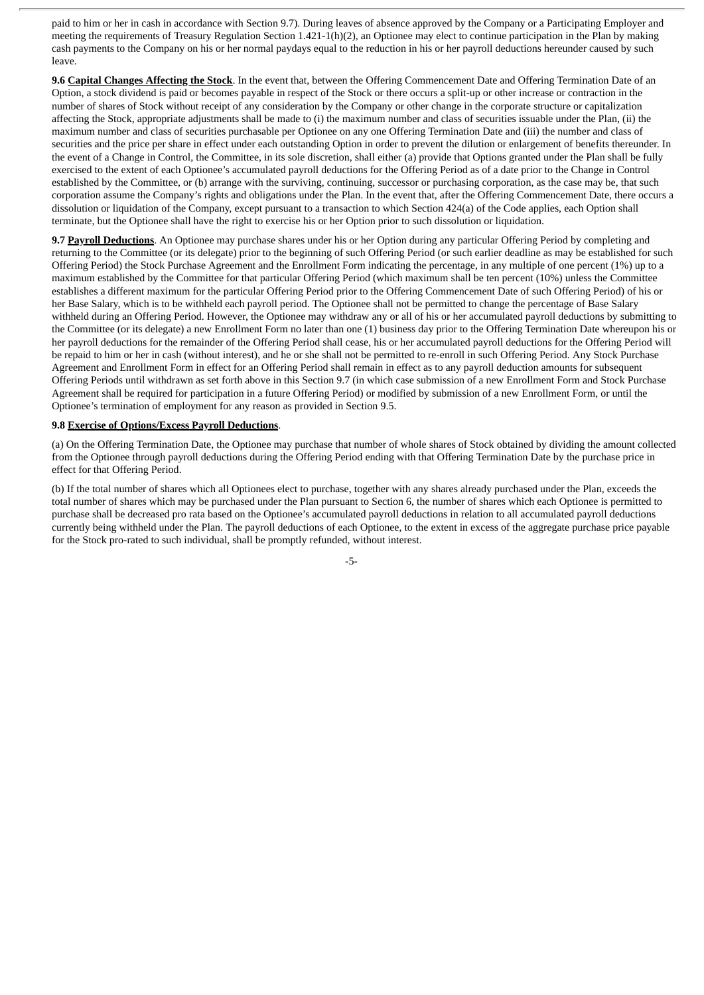paid to him or her in cash in accordance with Section 9.7). During leaves of absence approved by the Company or a Participating Employer and meeting the requirements of Treasury Regulation Section 1.421-1(h)(2), an Optionee may elect to continue participation in the Plan by making cash payments to the Company on his or her normal paydays equal to the reduction in his or her payroll deductions hereunder caused by such leave.

**9.6 Capital Changes Affecting the Stock**. In the event that, between the Offering Commencement Date and Offering Termination Date of an Option, a stock dividend is paid or becomes payable in respect of the Stock or there occurs a split-up or other increase or contraction in the number of shares of Stock without receipt of any consideration by the Company or other change in the corporate structure or capitalization affecting the Stock, appropriate adjustments shall be made to (i) the maximum number and class of securities issuable under the Plan, (ii) the maximum number and class of securities purchasable per Optionee on any one Offering Termination Date and (iii) the number and class of securities and the price per share in effect under each outstanding Option in order to prevent the dilution or enlargement of benefits thereunder. In the event of a Change in Control, the Committee, in its sole discretion, shall either (a) provide that Options granted under the Plan shall be fully exercised to the extent of each Optionee's accumulated payroll deductions for the Offering Period as of a date prior to the Change in Control established by the Committee, or (b) arrange with the surviving, continuing, successor or purchasing corporation, as the case may be, that such corporation assume the Company's rights and obligations under the Plan. In the event that, after the Offering Commencement Date, there occurs a dissolution or liquidation of the Company, except pursuant to a transaction to which Section 424(a) of the Code applies, each Option shall terminate, but the Optionee shall have the right to exercise his or her Option prior to such dissolution or liquidation.

**9.7 Payroll Deductions**. An Optionee may purchase shares under his or her Option during any particular Offering Period by completing and returning to the Committee (or its delegate) prior to the beginning of such Offering Period (or such earlier deadline as may be established for such Offering Period) the Stock Purchase Agreement and the Enrollment Form indicating the percentage, in any multiple of one percent (1%) up to a maximum established by the Committee for that particular Offering Period (which maximum shall be ten percent (10%) unless the Committee establishes a different maximum for the particular Offering Period prior to the Offering Commencement Date of such Offering Period) of his or her Base Salary, which is to be withheld each payroll period. The Optionee shall not be permitted to change the percentage of Base Salary withheld during an Offering Period. However, the Optionee may withdraw any or all of his or her accumulated payroll deductions by submitting to the Committee (or its delegate) a new Enrollment Form no later than one (1) business day prior to the Offering Termination Date whereupon his or her payroll deductions for the remainder of the Offering Period shall cease, his or her accumulated payroll deductions for the Offering Period will be repaid to him or her in cash (without interest), and he or she shall not be permitted to re-enroll in such Offering Period. Any Stock Purchase Agreement and Enrollment Form in effect for an Offering Period shall remain in effect as to any payroll deduction amounts for subsequent Offering Periods until withdrawn as set forth above in this Section 9.7 (in which case submission of a new Enrollment Form and Stock Purchase Agreement shall be required for participation in a future Offering Period) or modified by submission of a new Enrollment Form, or until the Optionee's termination of employment for any reason as provided in Section 9.5.

#### **9.8 Exercise of Options/Excess Payroll Deductions**.

(a) On the Offering Termination Date, the Optionee may purchase that number of whole shares of Stock obtained by dividing the amount collected from the Optionee through payroll deductions during the Offering Period ending with that Offering Termination Date by the purchase price in effect for that Offering Period.

(b) If the total number of shares which all Optionees elect to purchase, together with any shares already purchased under the Plan, exceeds the total number of shares which may be purchased under the Plan pursuant to Section 6, the number of shares which each Optionee is permitted to purchase shall be decreased pro rata based on the Optionee's accumulated payroll deductions in relation to all accumulated payroll deductions currently being withheld under the Plan. The payroll deductions of each Optionee, to the extent in excess of the aggregate purchase price payable for the Stock pro-rated to such individual, shall be promptly refunded, without interest.

-5-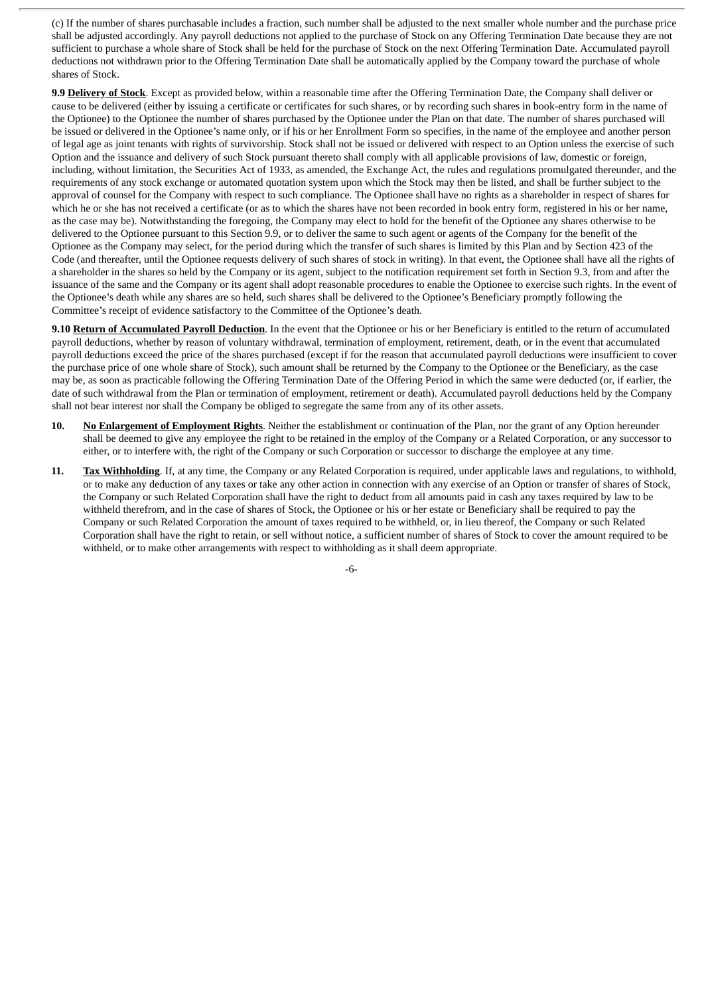(c) If the number of shares purchasable includes a fraction, such number shall be adjusted to the next smaller whole number and the purchase price shall be adjusted accordingly. Any payroll deductions not applied to the purchase of Stock on any Offering Termination Date because they are not sufficient to purchase a whole share of Stock shall be held for the purchase of Stock on the next Offering Termination Date. Accumulated payroll deductions not withdrawn prior to the Offering Termination Date shall be automatically applied by the Company toward the purchase of whole shares of Stock.

**9.9 Delivery of Stock**. Except as provided below, within a reasonable time after the Offering Termination Date, the Company shall deliver or cause to be delivered (either by issuing a certificate or certificates for such shares, or by recording such shares in book-entry form in the name of the Optionee) to the Optionee the number of shares purchased by the Optionee under the Plan on that date. The number of shares purchased will be issued or delivered in the Optionee's name only, or if his or her Enrollment Form so specifies, in the name of the employee and another person of legal age as joint tenants with rights of survivorship. Stock shall not be issued or delivered with respect to an Option unless the exercise of such Option and the issuance and delivery of such Stock pursuant thereto shall comply with all applicable provisions of law, domestic or foreign, including, without limitation, the Securities Act of 1933, as amended, the Exchange Act, the rules and regulations promulgated thereunder, and the requirements of any stock exchange or automated quotation system upon which the Stock may then be listed, and shall be further subject to the approval of counsel for the Company with respect to such compliance. The Optionee shall have no rights as a shareholder in respect of shares for which he or she has not received a certificate (or as to which the shares have not been recorded in book entry form, registered in his or her name, as the case may be). Notwithstanding the foregoing, the Company may elect to hold for the benefit of the Optionee any shares otherwise to be delivered to the Optionee pursuant to this Section 9.9, or to deliver the same to such agent or agents of the Company for the benefit of the Optionee as the Company may select, for the period during which the transfer of such shares is limited by this Plan and by Section 423 of the Code (and thereafter, until the Optionee requests delivery of such shares of stock in writing). In that event, the Optionee shall have all the rights of a shareholder in the shares so held by the Company or its agent, subject to the notification requirement set forth in Section 9.3, from and after the issuance of the same and the Company or its agent shall adopt reasonable procedures to enable the Optionee to exercise such rights. In the event of the Optionee's death while any shares are so held, such shares shall be delivered to the Optionee's Beneficiary promptly following the Committee's receipt of evidence satisfactory to the Committee of the Optionee's death.

**9.10 Return of Accumulated Payroll Deduction**. In the event that the Optionee or his or her Beneficiary is entitled to the return of accumulated payroll deductions, whether by reason of voluntary withdrawal, termination of employment, retirement, death, or in the event that accumulated payroll deductions exceed the price of the shares purchased (except if for the reason that accumulated payroll deductions were insufficient to cover the purchase price of one whole share of Stock), such amount shall be returned by the Company to the Optionee or the Beneficiary, as the case may be, as soon as practicable following the Offering Termination Date of the Offering Period in which the same were deducted (or, if earlier, the date of such withdrawal from the Plan or termination of employment, retirement or death). Accumulated payroll deductions held by the Company shall not bear interest nor shall the Company be obliged to segregate the same from any of its other assets.

- **10. No Enlargement of Employment Rights**. Neither the establishment or continuation of the Plan, nor the grant of any Option hereunder shall be deemed to give any employee the right to be retained in the employ of the Company or a Related Corporation, or any successor to either, or to interfere with, the right of the Company or such Corporation or successor to discharge the employee at any time.
- **11. Tax Withholding**. If, at any time, the Company or any Related Corporation is required, under applicable laws and regulations, to withhold, or to make any deduction of any taxes or take any other action in connection with any exercise of an Option or transfer of shares of Stock, the Company or such Related Corporation shall have the right to deduct from all amounts paid in cash any taxes required by law to be withheld therefrom, and in the case of shares of Stock, the Optionee or his or her estate or Beneficiary shall be required to pay the Company or such Related Corporation the amount of taxes required to be withheld, or, in lieu thereof, the Company or such Related Corporation shall have the right to retain, or sell without notice, a sufficient number of shares of Stock to cover the amount required to be withheld, or to make other arrangements with respect to withholding as it shall deem appropriate.

-6-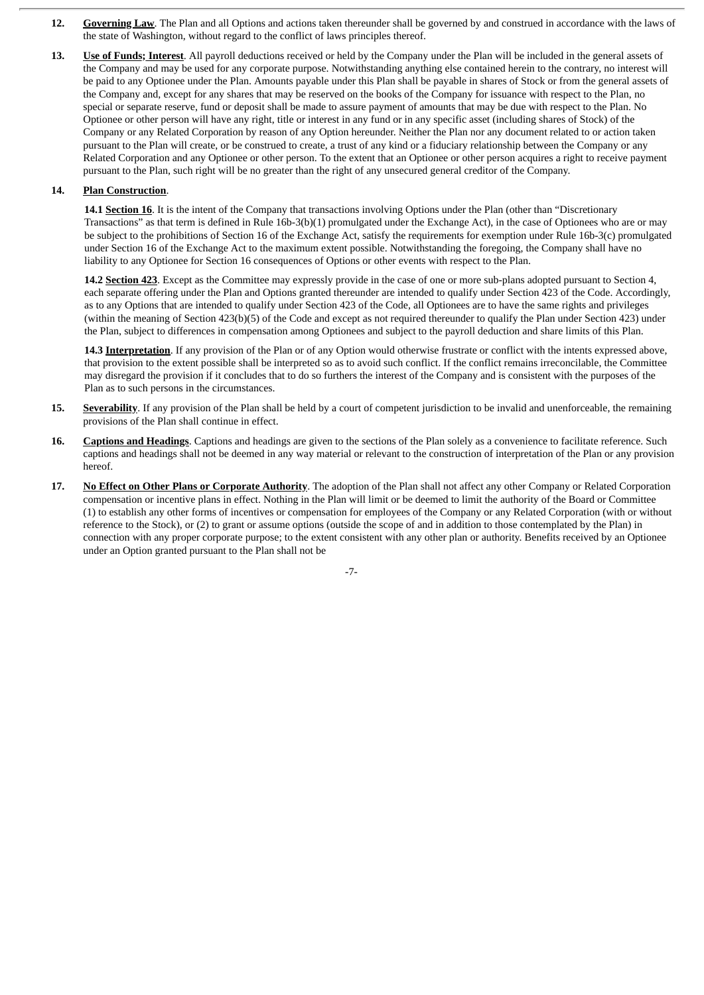- **12. Governing Law**. The Plan and all Options and actions taken thereunder shall be governed by and construed in accordance with the laws of the state of Washington, without regard to the conflict of laws principles thereof.
- **13. Use of Funds; Interest**. All payroll deductions received or held by the Company under the Plan will be included in the general assets of the Company and may be used for any corporate purpose. Notwithstanding anything else contained herein to the contrary, no interest will be paid to any Optionee under the Plan. Amounts payable under this Plan shall be payable in shares of Stock or from the general assets of the Company and, except for any shares that may be reserved on the books of the Company for issuance with respect to the Plan, no special or separate reserve, fund or deposit shall be made to assure payment of amounts that may be due with respect to the Plan. No Optionee or other person will have any right, title or interest in any fund or in any specific asset (including shares of Stock) of the Company or any Related Corporation by reason of any Option hereunder. Neither the Plan nor any document related to or action taken pursuant to the Plan will create, or be construed to create, a trust of any kind or a fiduciary relationship between the Company or any Related Corporation and any Optionee or other person. To the extent that an Optionee or other person acquires a right to receive payment pursuant to the Plan, such right will be no greater than the right of any unsecured general creditor of the Company.

# **14. Plan Construction**.

**14.1 Section 16**. It is the intent of the Company that transactions involving Options under the Plan (other than "Discretionary Transactions" as that term is defined in Rule 16b-3(b)(1) promulgated under the Exchange Act), in the case of Optionees who are or may be subject to the prohibitions of Section 16 of the Exchange Act, satisfy the requirements for exemption under Rule 16b-3(c) promulgated under Section 16 of the Exchange Act to the maximum extent possible. Notwithstanding the foregoing, the Company shall have no liability to any Optionee for Section 16 consequences of Options or other events with respect to the Plan.

**14.2 Section 423**. Except as the Committee may expressly provide in the case of one or more sub-plans adopted pursuant to Section 4, each separate offering under the Plan and Options granted thereunder are intended to qualify under Section 423 of the Code. Accordingly, as to any Options that are intended to qualify under Section 423 of the Code, all Optionees are to have the same rights and privileges (within the meaning of Section 423(b)(5) of the Code and except as not required thereunder to qualify the Plan under Section 423) under the Plan, subject to differences in compensation among Optionees and subject to the payroll deduction and share limits of this Plan.

**14.3 Interpretation**. If any provision of the Plan or of any Option would otherwise frustrate or conflict with the intents expressed above, that provision to the extent possible shall be interpreted so as to avoid such conflict. If the conflict remains irreconcilable, the Committee may disregard the provision if it concludes that to do so furthers the interest of the Company and is consistent with the purposes of the Plan as to such persons in the circumstances.

- **15. Severability**. If any provision of the Plan shall be held by a court of competent jurisdiction to be invalid and unenforceable, the remaining provisions of the Plan shall continue in effect.
- **16. Captions and Headings**. Captions and headings are given to the sections of the Plan solely as a convenience to facilitate reference. Such captions and headings shall not be deemed in any way material or relevant to the construction of interpretation of the Plan or any provision hereof.
- **17. No Effect on Other Plans or Corporate Authority**. The adoption of the Plan shall not affect any other Company or Related Corporation compensation or incentive plans in effect. Nothing in the Plan will limit or be deemed to limit the authority of the Board or Committee (1) to establish any other forms of incentives or compensation for employees of the Company or any Related Corporation (with or without reference to the Stock), or (2) to grant or assume options (outside the scope of and in addition to those contemplated by the Plan) in connection with any proper corporate purpose; to the extent consistent with any other plan or authority. Benefits received by an Optionee under an Option granted pursuant to the Plan shall not be